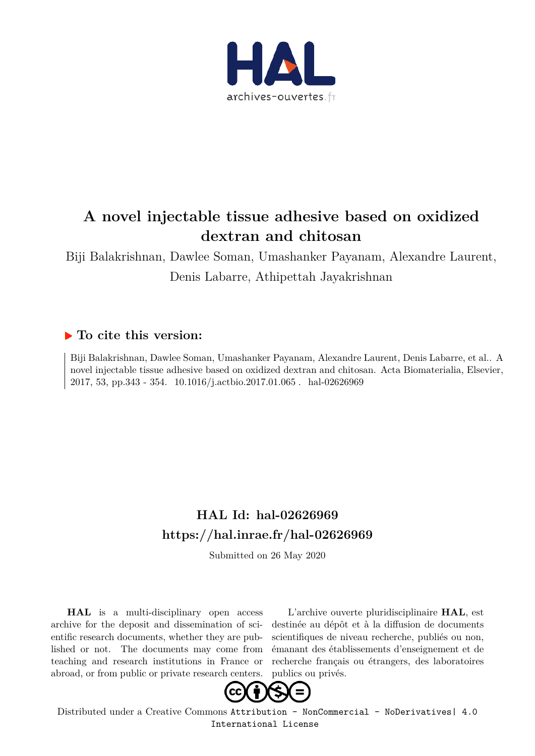

# **A novel injectable tissue adhesive based on oxidized dextran and chitosan**

Biji Balakrishnan, Dawlee Soman, Umashanker Payanam, Alexandre Laurent, Denis Labarre, Athipettah Jayakrishnan

### **To cite this version:**

Biji Balakrishnan, Dawlee Soman, Umashanker Payanam, Alexandre Laurent, Denis Labarre, et al.. A novel injectable tissue adhesive based on oxidized dextran and chitosan. Acta Biomaterialia, Elsevier, 2017, 53, pp.343 - 354. 10.1016/j.actbio.2017.01.065. hal-02626969

## **HAL Id: hal-02626969 https://hal.inrae.fr/hal-02626969**

Submitted on 26 May 2020

**HAL** is a multi-disciplinary open access archive for the deposit and dissemination of scientific research documents, whether they are published or not. The documents may come from teaching and research institutions in France or abroad, or from public or private research centers.

L'archive ouverte pluridisciplinaire **HAL**, est destinée au dépôt et à la diffusion de documents scientifiques de niveau recherche, publiés ou non, émanant des établissements d'enseignement et de recherche français ou étrangers, des laboratoires publics ou privés.



Distributed under a Creative Commons Attribution - NonCommercial - NoDerivatives| 4.0 International License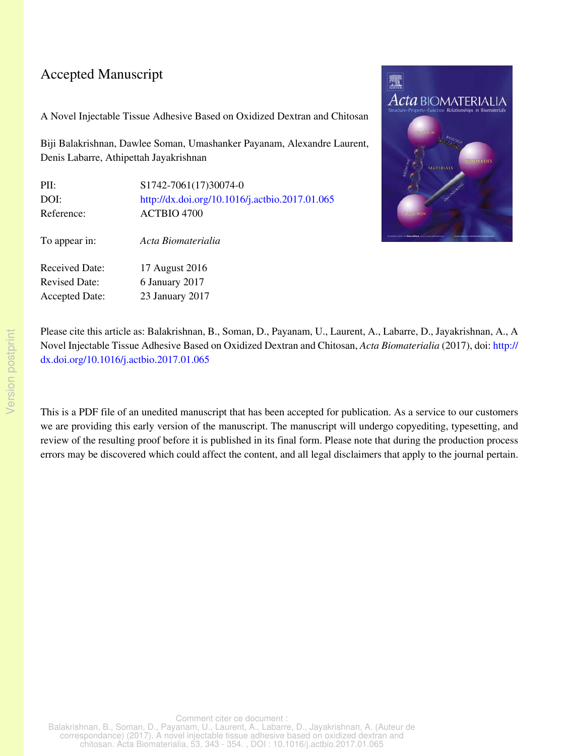### Accepted Manuscript

A Novel Injectable Tissue Adhesive Based on Oxidized Dextran and Chitosan

Biji Balakrishnan, Dawlee Soman, Umashanker Payanam, Alexandre Laurent, Denis Labarre, Athipettah Jayakrishnan

| PII:                  | S1742-7061(17)30074-0                          |
|-----------------------|------------------------------------------------|
| DOI:                  | http://dx.doi.org/10.1016/j.actbio.2017.01.065 |
| Reference:            | ACTBIO 4700                                    |
| To appear in:         | Acta Biomaterialia                             |
| Received Date:        | 17 August 2016                                 |
| <b>Revised Date:</b>  | 6 January 2017                                 |
| <b>Accepted Date:</b> | 23 January 2017                                |



Please cite this article as: Balakrishnan, B., Soman, D., Payanam, U., Laurent, A., Labarre, D., Jayakrishnan, A., A Novel Injectable Tissue Adhesive Based on Oxidized Dextran and Chitosan, *Acta Biomaterialia* (2017), doi: http:// dx.doi.org/10.1016/j.actbio.2017.01.065

This is a PDF file of an unedited manuscript that has been accepted for publication. As a service to our customers we are providing this early version of the manuscript. The manuscript will undergo copyediting, typesetting, and review of the resulting proof before it is published in its final form. Please note that during the production process errors may be discovered which could affect the content, and all legal disclaimers that apply to the journal pertain.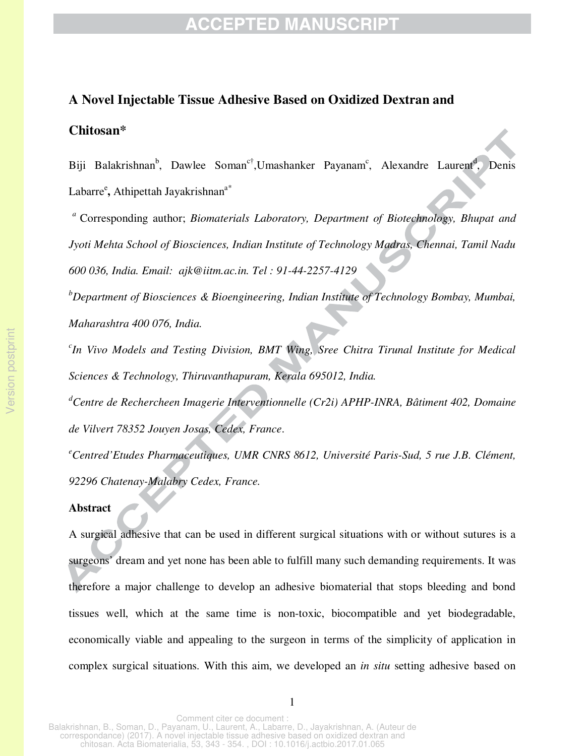#### **A Novel Injectable Tissue Adhesive Based on Oxidized Dextran and**

#### **Chitosan\***

Biji Balakrishnan<sup>b</sup>, Dawlee Soman<sup>c†</sup>,Umashanker Payanam<sup>c</sup>, Alexandre Laurent<sup>d</sup>, Denis Labarre<sup>e</sup>, Athipettah Jayakrishnan<sup>a\*</sup>

 *<sup>a</sup>*Corresponding author; *Biomaterials Laboratory, Department of Biotechnology, Bhupat and Jyoti Mehta School of Biosciences, Indian Institute of Technology Madras, Chennai, Tamil Nadu 600 036, India. Email: ajk@iitm.ac.in. Tel : 91-44-2257-4129* 

*<sup>b</sup>Department of Biosciences & Bioengineering, Indian Institute of Technology Bombay, Mumbai, Maharashtra 400 076, India.* 

*c In Vivo Models and Testing Division, BMT Wing, Sree Chitra Tirunal Institute for Medical Sciences & Technology, Thiruvanthapuram, Kerala 695012, India.* 

*<sup>d</sup>Centre de Rechercheen Imagerie Interventionnelle (Cr2i) APHP-INRA, Bâtiment 402, Domaine de Vilvert 78352 Jouyen Josas, Cedex, France*.

*<sup>e</sup>Centred'Etudes Pharmaceutiques, UMR CNRS 8612, Université Paris-Sud, 5 rue J.B. Clément, 92296 Chatenay-Malabry Cedex, France.* 

#### **Abstract**

A surgical adhesive that can be used in different surgical situations with or without sutures is a surgeons' dream and yet none has been able to fulfill many such demanding requirements. It was therefore a major challenge to develop an adhesive biomaterial that stops bleeding and bond tissues well, which at the same time is non-toxic, biocompatible and yet biodegradable, economically viable and appealing to the surgeon in terms of the simplicity of application in complex surgical situations. With this aim, we developed an *in situ* setting adhesive based on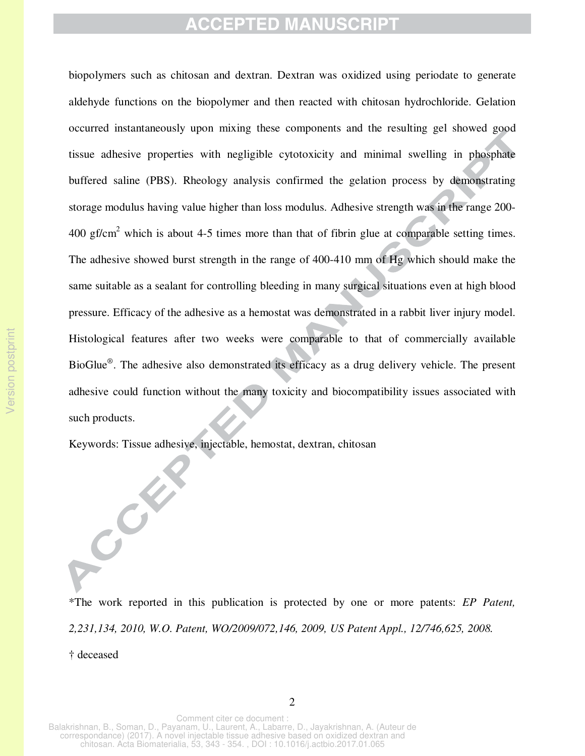biopolymers such as chitosan and dextran. Dextran was oxidized using periodate to generate aldehyde functions on the biopolymer and then reacted with chitosan hydrochloride. Gelation occurred instantaneously upon mixing these components and the resulting gel showed good tissue adhesive properties with negligible cytotoxicity and minimal swelling in phosphate buffered saline (PBS). Rheology analysis confirmed the gelation process by demonstrating storage modulus having value higher than loss modulus. Adhesive strength was in the range 200-  $400 \text{ gf/cm}^2$  which is about 4-5 times more than that of fibrin glue at comparable setting times. The adhesive showed burst strength in the range of 400-410 mm of Hg which should make the same suitable as a sealant for controlling bleeding in many surgical situations even at high blood pressure. Efficacy of the adhesive as a hemostat was demonstrated in a rabbit liver injury model. Histological features after two weeks were comparable to that of commercially available BioGlue*®* . The adhesive also demonstrated its efficacy as a drug delivery vehicle. The present adhesive could function without the many toxicity and biocompatibility issues associated with such products.

Keywords: Tissue adhesive, injectable, hemostat, dextran, chitosan

CONT

\*The work reported in this publication is protected by one or more patents: *EP Patent, 2,231,134, 2010, W.O. Patent, WO/2009/072,146, 2009, US Patent Appl., 12/746,625, 2008.*  † deceased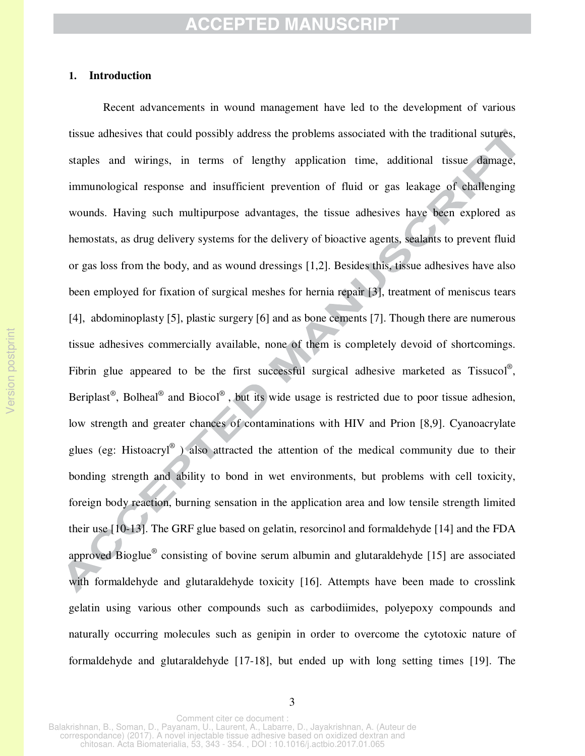#### **1. Introduction**

 wounds. Having such multipurpose advantages, the tissue adhesives have been explored as Recent advancements in wound management have led to the development of various tissue adhesives that could possibly address the problems associated with the traditional sutures, staples and wirings, in terms of lengthy application time, additional tissue damage, immunological response and insufficient prevention of fluid or gas leakage of challenging hemostats, as drug delivery systems for the delivery of bioactive agents, sealants to prevent fluid or gas loss from the body, and as wound dressings [1,2]. Besides this, tissue adhesives have also been employed for fixation of surgical meshes for hernia repair [3], treatment of meniscus tears [4], abdominoplasty [5], plastic surgery [6] and as bone cements [7]. Though there are numerous tissue adhesives commercially available, none of them is completely devoid of shortcomings. Fibrin glue appeared to be the first successful surgical adhesive marketed as Tissucol®, Beriplast<sup>®</sup>, Bolheal<sup>®</sup> and Biocol<sup>®</sup>, but its wide usage is restricted due to poor tissue adhesion, low strength and greater chances of contaminations with HIV and Prion [8,9]. Cyanoacrylate glues (eg: Histoacryl<sup>®</sup>) also attracted the attention of the medical community due to their bonding strength and ability to bond in wet environments, but problems with cell toxicity, foreign body reaction, burning sensation in the application area and low tensile strength limited their use [10-13]. The GRF glue based on gelatin, resorcinol and formaldehyde [14] and the FDA approved Bioglue<sup>®</sup> consisting of bovine serum albumin and glutaraldehyde [15] are associated with formaldehyde and glutaraldehyde toxicity [16]. Attempts have been made to crosslink gelatin using various other compounds such as carbodiimides, polyepoxy compounds and naturally occurring molecules such as genipin in order to overcome the cytotoxic nature of formaldehyde and glutaraldehyde [17-18], but ended up with long setting times [19]. The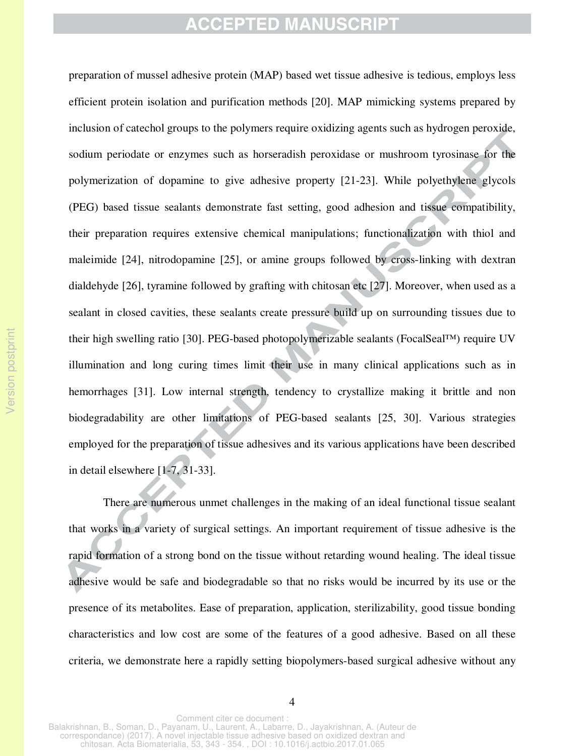preparation of mussel adhesive protein (MAP) based wet tissue adhesive is tedious, employs less efficient protein isolation and purification methods [20]. MAP mimicking systems prepared by inclusion of catechol groups to the polymers require oxidizing agents such as hydrogen peroxide, sodium periodate or enzymes such as horseradish peroxidase or mushroom tyrosinase for the polymerization of dopamine to give adhesive property [21-23]. While polyethylene glycols (PEG) based tissue sealants demonstrate fast setting, good adhesion and tissue compatibility, their preparation requires extensive chemical manipulations; functionalization with thiol and maleimide [24], nitrodopamine [25], or amine groups followed by cross-linking with dextran dialdehyde [26], tyramine followed by grafting with chitosan etc [27]. Moreover, when used as a sealant in closed cavities, these sealants create pressure build up on surrounding tissues due to their high swelling ratio [30]. PEG-based photopolymerizable sealants (FocalSeal™) require UV illumination and long curing times limit their use in many clinical applications such as in hemorrhages [31]. Low internal strength, tendency to crystallize making it brittle and non biodegradability are other limitations of PEG-based sealants [25, 30]. Various strategies employed for the preparation of tissue adhesives and its various applications have been described in detail elsewhere [1-7, 31-33].

There are numerous unmet challenges in the making of an ideal functional tissue sealant that works in a variety of surgical settings. An important requirement of tissue adhesive is the rapid formation of a strong bond on the tissue without retarding wound healing. The ideal tissue adhesive would be safe and biodegradable so that no risks would be incurred by its use or the presence of its metabolites. Ease of preparation, application, sterilizability, good tissue bonding characteristics and low cost are some of the features of a good adhesive. Based on all these criteria, we demonstrate here a rapidly setting biopolymers-based surgical adhesive without any

4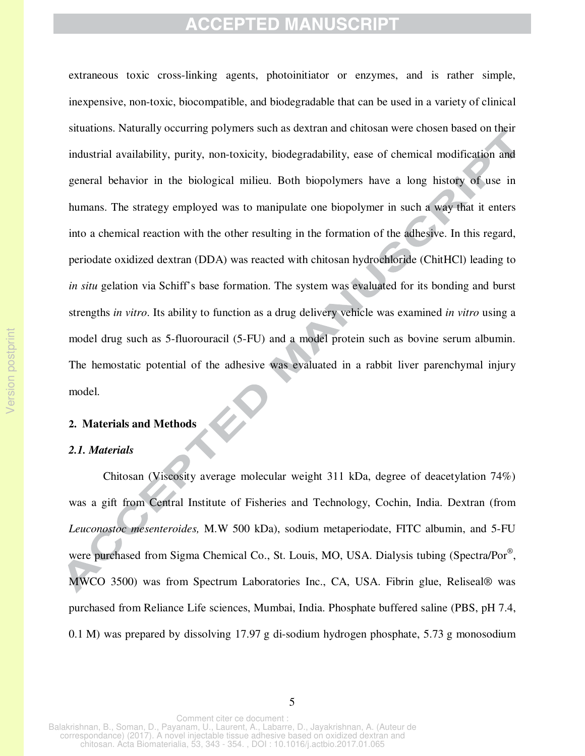extraneous toxic cross-linking agents, photoinitiator or enzymes, and is rather simple, inexpensive, non-toxic, biocompatible, and biodegradable that can be used in a variety of clinical situations. Naturally occurring polymers such as dextran and chitosan were chosen based on their industrial availability, purity, non-toxicity, biodegradability, ease of chemical modification and general behavior in the biological milieu. Both biopolymers have a long history of use in humans. The strategy employed was to manipulate one biopolymer in such a way that it enters into a chemical reaction with the other resulting in the formation of the adhesive. In this regard, periodate oxidized dextran (DDA) was reacted with chitosan hydrochloride (ChitHCl) leading to *in situ* gelation via Schiff's base formation. The system was evaluated for its bonding and burst strengths *in vitro*. Its ability to function as a drug delivery vehicle was examined *in vitro* using a model drug such as 5-fluorouracil (5-FU) and a model protein such as bovine serum albumin. The hemostatic potential of the adhesive was evaluated in a rabbit liver parenchymal injury model.

#### **2. Materials and Methods**

#### *2.1. Materials*

Chitosan (Viscosity average molecular weight 311 kDa, degree of deacetylation 74%) was a gift from Central Institute of Fisheries and Technology, Cochin, India. Dextran (from *Leuconostoc mesenteroides,* M.W 500 kDa), sodium metaperiodate, FITC albumin, and 5-FU were purchased from Sigma Chemical Co., St. Louis, MO, USA. Dialysis tubing (Spectra/Por®, MWCO 3500) was from Spectrum Laboratories Inc., CA, USA. Fibrin glue, Reliseal® was purchased from Reliance Life sciences, Mumbai, India. Phosphate buffered saline (PBS, pH 7.4, 0.1 M) was prepared by dissolving 17.97 g di-sodium hydrogen phosphate, 5.73 g monosodium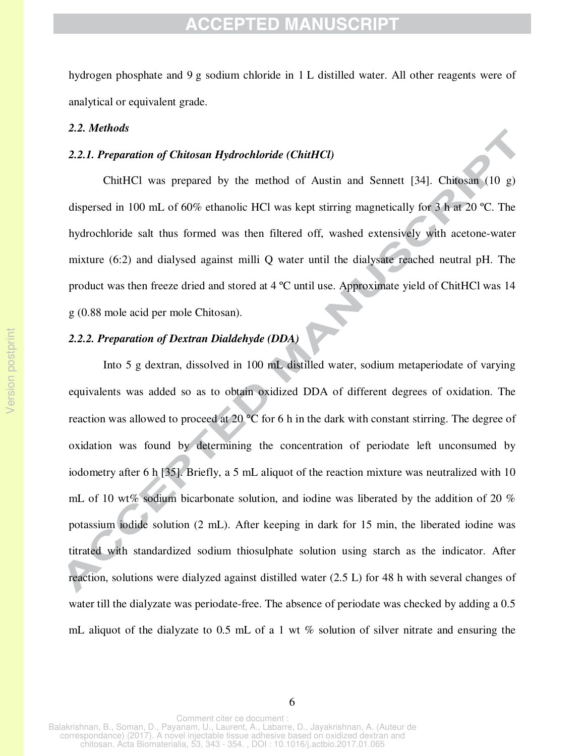hydrogen phosphate and 9 g sodium chloride in 1 L distilled water. All other reagents were of analytical or equivalent grade.

#### *2.2. Methods*

#### *2.2.1. Preparation of Chitosan Hydrochloride (ChitHCl)*

ChitHCl was prepared by the method of Austin and Sennett [34]. Chitosan (10 g) dispersed in 100 mL of 60% ethanolic HCl was kept stirring magnetically for 3 h at 20 ºC. The hydrochloride salt thus formed was then filtered off, washed extensively with acetone-water mixture (6:2) and dialysed against milli Q water until the dialysate reached neutral pH. The product was then freeze dried and stored at 4 ºC until use. Approximate yield of ChitHCl was 14 g (0.88 mole acid per mole Chitosan).

### *2.2.2. Preparation of Dextran Dialdehyde (DDA)*

 Into 5 g dextran, dissolved in 100 mL distilled water, sodium metaperiodate of varying equivalents was added so as to obtain oxidized DDA of different degrees of oxidation. The reaction was allowed to proceed at 20 °C for 6 h in the dark with constant stirring. The degree of oxidation was found by determining the concentration of periodate left unconsumed by iodometry after 6 h [35]. Briefly, a 5 mL aliquot of the reaction mixture was neutralized with 10 mL of 10 wt% sodium bicarbonate solution, and iodine was liberated by the addition of 20 % potassium iodide solution (2 mL). After keeping in dark for 15 min, the liberated iodine was titrated with standardized sodium thiosulphate solution using starch as the indicator. After reaction, solutions were dialyzed against distilled water (2.5 L) for 48 h with several changes of water till the dialyzate was periodate-free. The absence of periodate was checked by adding a 0.5 mL aliquot of the dialyzate to 0.5 mL of a 1 wt  $\%$  solution of silver nitrate and ensuring the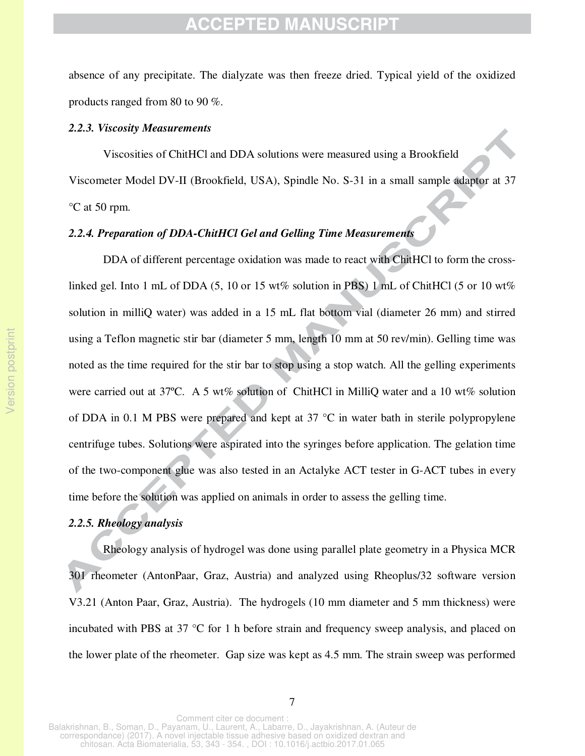absence of any precipitate. The dialyzate was then freeze dried. Typical yield of the oxidized products ranged from 80 to 90 %.

#### *2.2.3. Viscosity Measurements*

Viscosities of ChitHCl and DDA solutions were measured using a Brookfield Viscometer Model DV-II (Brookfield, USA), Spindle No. S-31 in a small sample adaptor at 37 °C at 50 rpm.

### *2.2.4. Preparation of DDA-ChitHCl Gel and Gelling Time Measurements*

 DDA of different percentage oxidation was made to react with ChitHCl to form the crosslinked gel. Into 1 mL of DDA (5, 10 or 15 wt% solution in PBS) 1 mL of ChitHCl (5 or 10 wt% solution in milliQ water) was added in a 15 mL flat bottom vial (diameter 26 mm) and stirred using a Teflon magnetic stir bar (diameter 5 mm, length 10 mm at 50 rev/min). Gelling time was noted as the time required for the stir bar to stop using a stop watch. All the gelling experiments were carried out at 37°C. A 5 wt% solution of ChitHCl in MilliQ water and a 10 wt% solution of DDA in 0.1 M PBS were prepared and kept at 37 °C in water bath in sterile polypropylene centrifuge tubes. Solutions were aspirated into the syringes before application. The gelation time of the two-component glue was also tested in an Actalyke ACT tester in G-ACT tubes in every time before the solution was applied on animals in order to assess the gelling time.

### *2.2.5. Rheology analysis*

Rheology analysis of hydrogel was done using parallel plate geometry in a Physica MCR 301 rheometer (AntonPaar, Graz, Austria) and analyzed using Rheoplus/32 software version V3.21 (Anton Paar, Graz, Austria). The hydrogels (10 mm diameter and 5 mm thickness) were incubated with PBS at 37 °C for 1 h before strain and frequency sweep analysis, and placed on the lower plate of the rheometer. Gap size was kept as 4.5 mm. The strain sweep was performed

7

chitosan. Acta Biomaterialia, 53, 343 - 354. , DOI : 10.1016/j.actbio.2017.01.065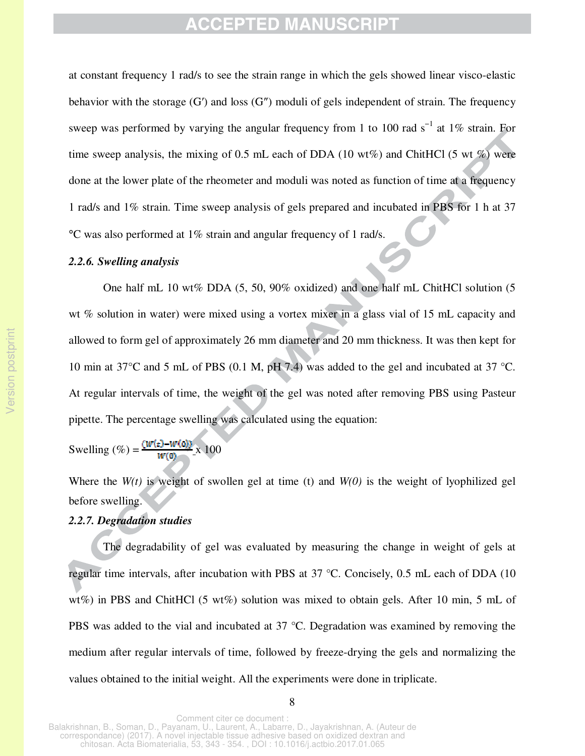at constant frequency 1 rad/s to see the strain range in which the gels showed linear visco-elastic behavior with the storage (G') and loss (G") moduli of gels independent of strain. The frequency sweep was performed by varying the angular frequency from 1 to 100 rad s<sup>-1</sup> at 1% strain. For time sweep analysis, the mixing of 0.5 mL each of DDA (10 wt%) and ChitHCl (5 wt %) were done at the lower plate of the rheometer and moduli was noted as function of time at a frequency 1 rad/s and 1% strain. Time sweep analysis of gels prepared and incubated in PBS for 1 h at 37 °C was also performed at 1% strain and angular frequency of 1 rad/s.

#### *2.2.6. Swelling analysis*

One half mL 10 wt% DDA (5, 50, 90% oxidized) and one half mL ChitHCl solution (5 wt % solution in water) were mixed using a vortex mixer in a glass vial of 15 mL capacity and allowed to form gel of approximately 26 mm diameter and 20 mm thickness. It was then kept for 10 min at 37°C and 5 mL of PBS (0.1 M, pH 7.4) was added to the gel and incubated at 37 °C. At regular intervals of time, the weight of the gel was noted after removing PBS using Pasteur pipette. The percentage swelling was calculated using the equation:

Swelling  $(\%) = \frac{(w(e) - w(0))}{w(0)} \times 100$ 

Where the  $W(t)$  is weight of swollen gel at time (t) and  $W(0)$  is the weight of lyophilized gel before swelling.

### *2.2.7. Degradation studies*

The degradability of gel was evaluated by measuring the change in weight of gels at regular time intervals, after incubation with PBS at 37 °C. Concisely, 0.5 mL each of DDA (10 wt%) in PBS and ChitHCl (5 wt%) solution was mixed to obtain gels. After 10 min, 5 mL of PBS was added to the vial and incubated at 37 °C. Degradation was examined by removing the medium after regular intervals of time, followed by freeze-drying the gels and normalizing the values obtained to the initial weight. All the experiments were done in triplicate.

8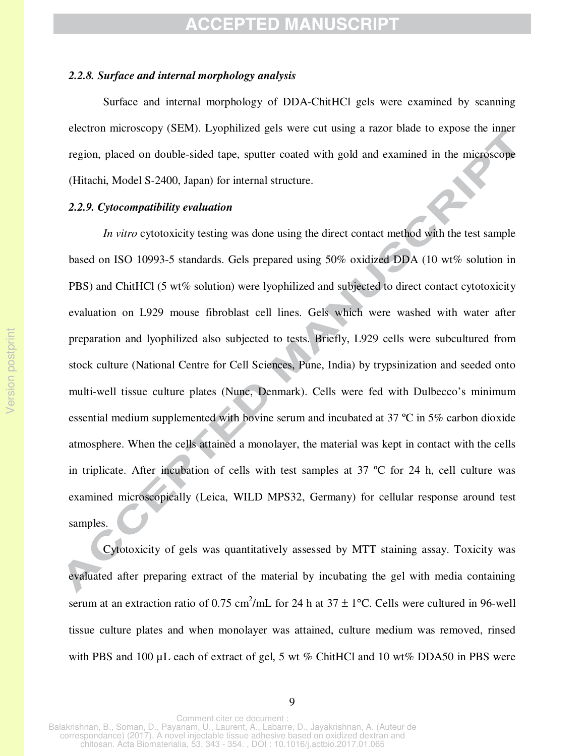#### *2.2.8. Surface and internal morphology analysis*

Surface and internal morphology of DDA-ChitHCl gels were examined by scanning electron microscopy (SEM). Lyophilized gels were cut using a razor blade to expose the inner region, placed on double-sided tape, sputter coated with gold and examined in the microscope (Hitachi, Model S-2400, Japan) for internal structure.

#### *2.2.9. Cytocompatibility evaluation*

*In vitro* cytotoxicity testing was done using the direct contact method with the test sample based on ISO 10993-5 standards. Gels prepared using 50% oxidized DDA (10 wt% solution in PBS) and ChitHCl (5 wt% solution) were lyophilized and subjected to direct contact cytotoxicity evaluation on L929 mouse fibroblast cell lines. Gels which were washed with water after preparation and lyophilized also subjected to tests. Briefly, L929 cells were subcultured from stock culture (National Centre for Cell Sciences, Pune, India) by trypsinization and seeded onto multi-well tissue culture plates (Nunc, Denmark). Cells were fed with Dulbecco's minimum essential medium supplemented with bovine serum and incubated at 37 ºC in 5% carbon dioxide atmosphere. When the cells attained a monolayer, the material was kept in contact with the cells in triplicate. After incubation of cells with test samples at 37 ºC for 24 h, cell culture was examined microscopically (Leica, WILD MPS32, Germany) for cellular response around test samples.

Cytotoxicity of gels was quantitatively assessed by MTT staining assay. Toxicity was evaluated after preparing extract of the material by incubating the gel with media containing serum at an extraction ratio of 0.75 cm<sup>2</sup>/mL for 24 h at  $37 \pm 1$ °C. Cells were cultured in 96-well tissue culture plates and when monolayer was attained, culture medium was removed, rinsed with PBS and 100 µL each of extract of gel, 5 wt % ChitHCl and 10 wt% DDA50 in PBS were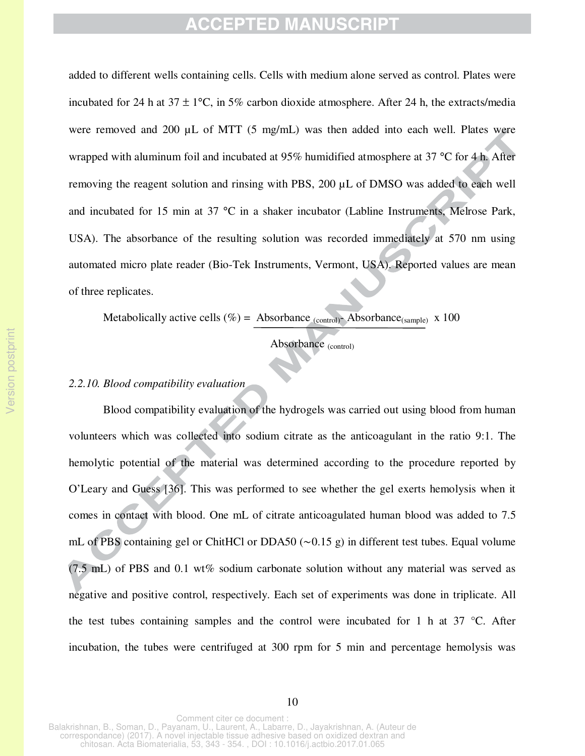and incubated for 15 min at 37 °C in a shaker incubator (Labline Instruments, Melrose Park, added to different wells containing cells. Cells with medium alone served as control. Plates were incubated for 24 h at  $37 \pm 1$ °C, in 5% carbon dioxide atmosphere. After 24 h, the extracts/media were removed and 200 µL of MTT (5 mg/mL) was then added into each well. Plates were wrapped with aluminum foil and incubated at 95% humidified atmosphere at 37 °C for 4 h. After removing the reagent solution and rinsing with PBS, 200 µL of DMSO was added to each well USA). The absorbance of the resulting solution was recorded immediately at 570 nm using automated micro plate reader (Bio-Tek Instruments, Vermont, USA). Reported values are mean of three replicates.

Metabolically active cells (%) = Absorbance  $_{(control)}$ -Absorbance $_{(sample)}$  x 100

İ Absorbance (control)

### *2.2.10. Blood compatibility evaluation*

Blood compatibility evaluation of the hydrogels was carried out using blood from human volunteers which was collected into sodium citrate as the anticoagulant in the ratio 9:1. The hemolytic potential of the material was determined according to the procedure reported by O'Leary and Guess [36]. This was performed to see whether the gel exerts hemolysis when it comes in contact with blood. One mL of citrate anticoagulated human blood was added to 7.5 mL of PBS containing gel or ChitHCl or DDA50 (∼0.15 g) in different test tubes. Equal volume (7.5 mL) of PBS and 0.1 wt% sodium carbonate solution without any material was served as negative and positive control, respectively. Each set of experiments was done in triplicate. All the test tubes containing samples and the control were incubated for 1 h at  $37 \degree C$ . After incubation, the tubes were centrifuged at 300 rpm for 5 min and percentage hemolysis was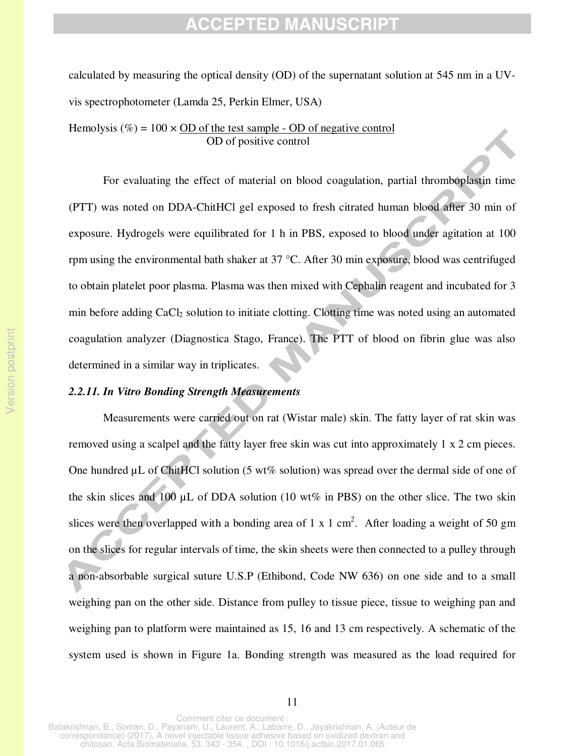calculated by measuring the optical density (OD) of the supernatant solution at 545 nm in a UVvis spectrophotometer (Lamda 25, Perkin Elmer, USA)

Hemolysis (%) =  $100 \times OD$  of the test sample - OD of negative control OD of positive control

For evaluating the effect of material on blood coagulation, partial thromboplastin time (PTT) was noted on DDA-ChitHCl gel exposed to fresh citrated human blood after 30 min of exposure. Hydrogels were equilibrated for 1 h in PBS, exposed to blood under agitation at 100 rpm using the environmental bath shaker at 37 °C. After 30 min exposure, blood was centrifuged to obtain platelet poor plasma. Plasma was then mixed with Cephalin reagent and incubated for 3 min before adding CaCl<sub>2</sub> solution to initiate clotting. Clotting time was noted using an automated coagulation analyzer (Diagnostica Stago, France). The PTT of blood on fibrin glue was also determined in a similar way in triplicates.

#### *2.2.11. In Vitro Bonding Strength Measurements*

Measurements were carried out on rat (Wistar male) skin. The fatty layer of rat skin was removed using a scalpel and the fatty layer free skin was cut into approximately 1 x 2 cm pieces. One hundred µL of ChitHCl solution (5 wt% solution) was spread over the dermal side of one of the skin slices and 100  $\mu$ L of DDA solution (10 wt% in PBS) on the other slice. The two skin slices were then overlapped with a bonding area of 1 x 1 cm<sup>2</sup>. After loading a weight of 50 gm on the slices for regular intervals of time, the skin sheets were then connected to a pulley through a non-absorbable surgical suture U.S.P (Ethibond, Code NW 636) on one side and to a small weighing pan on the other side. Distance from pulley to tissue piece, tissue to weighing pan and weighing pan to platform were maintained as 15, 16 and 13 cm respectively. A schematic of the system used is shown in Figure 1a. Bonding strength was measured as the load required for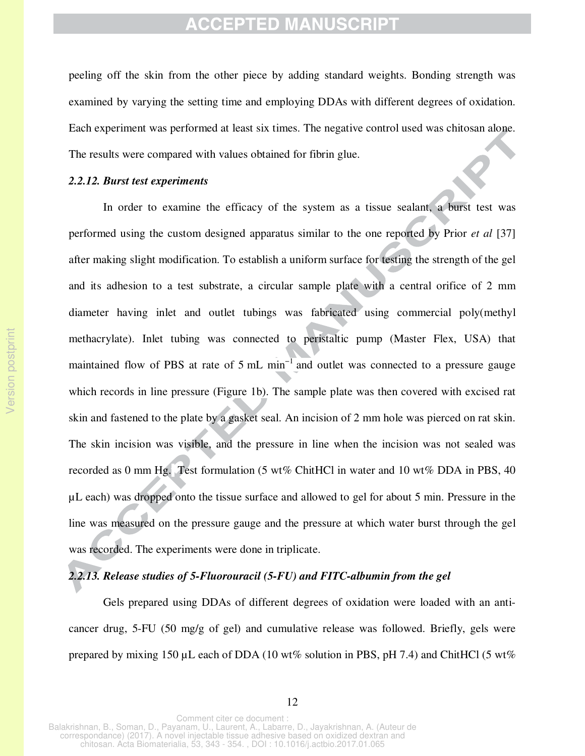peeling off the skin from the other piece by adding standard weights. Bonding strength was examined by varying the setting time and employing DDAs with different degrees of oxidation. Each experiment was performed at least six times. The negative control used was chitosan alone. The results were compared with values obtained for fibrin glue.

#### *2.2.12. Burst test experiments*

 In order to examine the efficacy of the system as a tissue sealant, a burst test was performed using the custom designed apparatus similar to the one reported by Prior *et al* [37] after making slight modification. To establish a uniform surface for testing the strength of the gel and its adhesion to a test substrate, a circular sample plate with a central orifice of 2 mm diameter having inlet and outlet tubings was fabricated using commercial poly(methyl methacrylate). Inlet tubing was connected to peristaltic pump (Master Flex, USA) that maintained flow of PBS at rate of 5 mL min<sup>-1</sup> and outlet was connected to a pressure gauge which records in line pressure (Figure 1b). The sample plate was then covered with excised rat skin and fastened to the plate by a gasket seal. An incision of 2 mm hole was pierced on rat skin. The skin incision was visible, and the pressure in line when the incision was not sealed was recorded as 0 mm Hg. Test formulation (5 wt% ChitHCl in water and 10 wt% DDA in PBS, 40 µL each) was dropped onto the tissue surface and allowed to gel for about 5 min. Pressure in the line was measured on the pressure gauge and the pressure at which water burst through the gel was recorded. The experiments were done in triplicate.

#### *2.2.13. Release studies of 5-Fluorouracil (5-FU) and FITC-albumin from the gel*

Gels prepared using DDAs of different degrees of oxidation were loaded with an anticancer drug, 5-FU (50 mg/g of gel) and cumulative release was followed. Briefly, gels were prepared by mixing 150 µL each of DDA (10 wt% solution in PBS, pH 7.4) and ChitHCl (5 wt%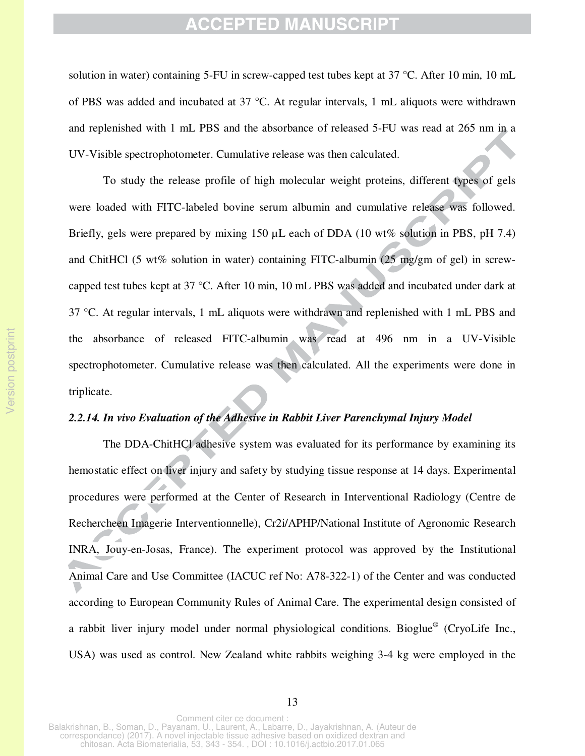solution in water) containing 5-FU in screw-capped test tubes kept at 37 °C. After 10 min, 10 mL of PBS was added and incubated at 37 °C. At regular intervals, 1 mL aliquots were withdrawn and replenished with 1 mL PBS and the absorbance of released 5-FU was read at 265 nm in a UV-Visible spectrophotometer. Cumulative release was then calculated.

To study the release profile of high molecular weight proteins, different types of gels were loaded with FITC-labeled bovine serum albumin and cumulative release was followed. Briefly, gels were prepared by mixing 150  $\mu$ L each of DDA (10 wt% solution in PBS, pH 7.4) and ChitHCl (5 wt% solution in water) containing FITC-albumin (25 mg/gm of gel) in screwcapped test tubes kept at 37 °C. After 10 min, 10 mL PBS was added and incubated under dark at 37 °C. At regular intervals, 1 mL aliquots were withdrawn and replenished with 1 mL PBS and the absorbance of released FITC-albumin was read at 496 nm in a UV-Visible spectrophotometer. Cumulative release was then calculated. All the experiments were done in triplicate.

#### *2.2.14. In vivo Evaluation of the Adhesive in Rabbit Liver Parenchymal Injury Model*

The DDA-ChitHCl adhesive system was evaluated for its performance by examining its hemostatic effect on liver injury and safety by studying tissue response at 14 days. Experimental procedures were performed at the Center of Research in Interventional Radiology (Centre de Rechercheen Imagerie Interventionnelle), Cr2i/APHP/National Institute of Agronomic Research INRA, Jouy-en-Josas, France). The experiment protocol was approved by the Institutional Animal Care and Use Committee (IACUC ref No: A78-322-1) of the Center and was conducted according to European Community Rules of Animal Care. The experimental design consisted of a rabbit liver injury model under normal physiological conditions. Bioglue<sup>®</sup> (CryoLife Inc., USA) was used as control. New Zealand white rabbits weighing 3-4 kg were employed in the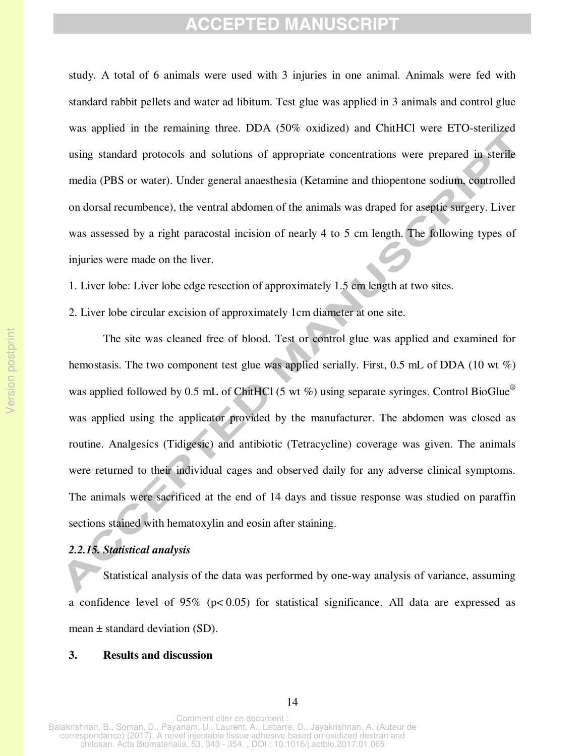study. A total of 6 animals were used with 3 injuries in one animal. Animals were fed with standard rabbit pellets and water ad libitum. Test glue was applied in 3 animals and control glue was applied in the remaining three. DDA (50% oxidized) and ChitHCl were ETO-sterilized using standard protocols and solutions of appropriate concentrations were prepared in sterile media (PBS or water). Under general anaesthesia (Ketamine and thiopentone sodium, controlled on dorsal recumbence), the ventral abdomen of the animals was draped for aseptic surgery. Liver was assessed by a right paracostal incision of nearly 4 to 5 cm length. The following types of injuries were made on the liver.

1. Liver lobe: Liver lobe edge resection of approximately 1.5 cm length at two sites.

2. Liver lobe circular excision of approximately 1cm diameter at one site.

 The site was cleaned free of blood. Test or control glue was applied and examined for hemostasis. The two component test glue was applied serially. First, 0.5 mL of DDA (10 wt %) was applied followed by 0.5 mL of ChitHCl (5 wt %) using separate syringes. Control BioGlue<sup>®</sup> was applied using the applicator provided by the manufacturer. The abdomen was closed as routine. Analgesics (Tidigesic) and antibiotic (Tetracycline) coverage was given. The animals were returned to their individual cages and observed daily for any adverse clinical symptoms. The animals were sacrificed at the end of 14 days and tissue response was studied on paraffin sections stained with hematoxylin and eosin after staining.

#### *2.2.15. Statistical analysis*

Statistical analysis of the data was performed by one-way analysis of variance, assuming a confidence level of 95% ( $p < 0.05$ ) for statistical significance. All data are expressed as mean  $\pm$  standard deviation (SD).

#### **3. Results and discussion**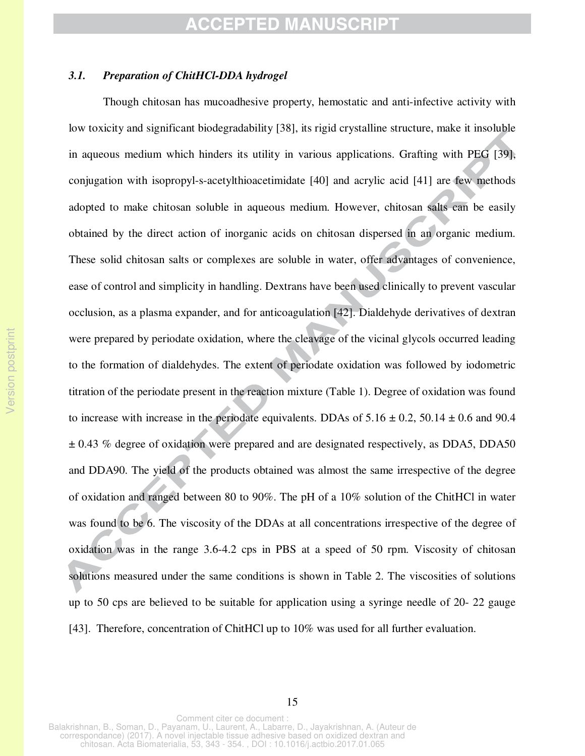### *3.1. Preparation of ChitHCl-DDA hydrogel*

Though chitosan has mucoadhesive property, hemostatic and anti-infective activity with low toxicity and significant biodegradability [38], its rigid crystalline structure, make it insoluble in aqueous medium which hinders its utility in various applications. Grafting with PEG [39], conjugation with isopropyl-s-acetylthioacetimidate [40] and acrylic acid [41] are few methods adopted to make chitosan soluble in aqueous medium. However, chitosan salts can be easily obtained by the direct action of inorganic acids on chitosan dispersed in an organic medium. These solid chitosan salts or complexes are soluble in water, offer advantages of convenience, ease of control and simplicity in handling. Dextrans have been used clinically to prevent vascular occlusion, as a plasma expander, and for anticoagulation [42]. Dialdehyde derivatives of dextran were prepared by periodate oxidation, where the cleavage of the vicinal glycols occurred leading to the formation of dialdehydes. The extent of periodate oxidation was followed by iodometric titration of the periodate present in the reaction mixture (Table 1). Degree of oxidation was found to increase with increase in the periodate equivalents. DDAs of  $5.16 \pm 0.2$ ,  $50.14 \pm 0.6$  and 90.4  $\pm$  0.43 % degree of oxidation were prepared and are designated respectively, as DDA5, DDA50 and DDA90. The yield of the products obtained was almost the same irrespective of the degree of oxidation and ranged between 80 to 90%. The pH of a 10% solution of the ChitHCl in water was found to be 6. The viscosity of the DDAs at all concentrations irrespective of the degree of oxidation was in the range 3.6-4.2 cps in PBS at a speed of 50 rpm. Viscosity of chitosan solutions measured under the same conditions is shown in Table 2. The viscosities of solutions up to 50 cps are believed to be suitable for application using a syringe needle of 20- 22 gauge [43]. Therefore, concentration of ChitHCl up to 10% was used for all further evaluation.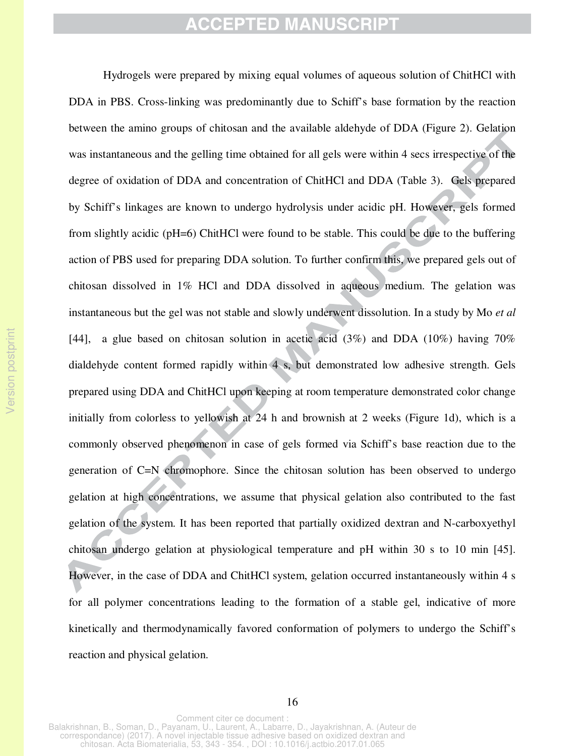Hydrogels were prepared by mixing equal volumes of aqueous solution of ChitHCl with DDA in PBS. Cross-linking was predominantly due to Schiff's base formation by the reaction between the amino groups of chitosan and the available aldehyde of DDA (Figure 2). Gelation was instantaneous and the gelling time obtained for all gels were within 4 secs irrespective of the degree of oxidation of DDA and concentration of ChitHCl and DDA (Table 3). Gels prepared by Schiff's linkages are known to undergo hydrolysis under acidic pH. However, gels formed from slightly acidic (pH=6) ChitHCl were found to be stable. This could be due to the buffering action of PBS used for preparing DDA solution. To further confirm this, we prepared gels out of chitosan dissolved in 1% HCl and DDA dissolved in aqueous medium. The gelation was instantaneous but the gel was not stable and slowly underwent dissolution. In a study by Mo *et al* [44], a glue based on chitosan solution in acetic acid (3%) and DDA (10%) having 70% dialdehyde content formed rapidly within 4 s, but demonstrated low adhesive strength. Gels prepared using DDA and ChitHCl upon keeping at room temperature demonstrated color change initially from colorless to yellowish at 24 h and brownish at 2 weeks (Figure 1d), which is a commonly observed phenomenon in case of gels formed via Schiff's base reaction due to the generation of C=N chromophore. Since the chitosan solution has been observed to undergo gelation at high concentrations, we assume that physical gelation also contributed to the fast gelation of the system. It has been reported that partially oxidized dextran and N-carboxyethyl chitosan undergo gelation at physiological temperature and pH within 30 s to 10 min [45]. However, in the case of DDA and ChitHCl system, gelation occurred instantaneously within 4 s for all polymer concentrations leading to the formation of a stable gel, indicative of more kinetically and thermodynamically favored conformation of polymers to undergo the Schiff's reaction and physical gelation.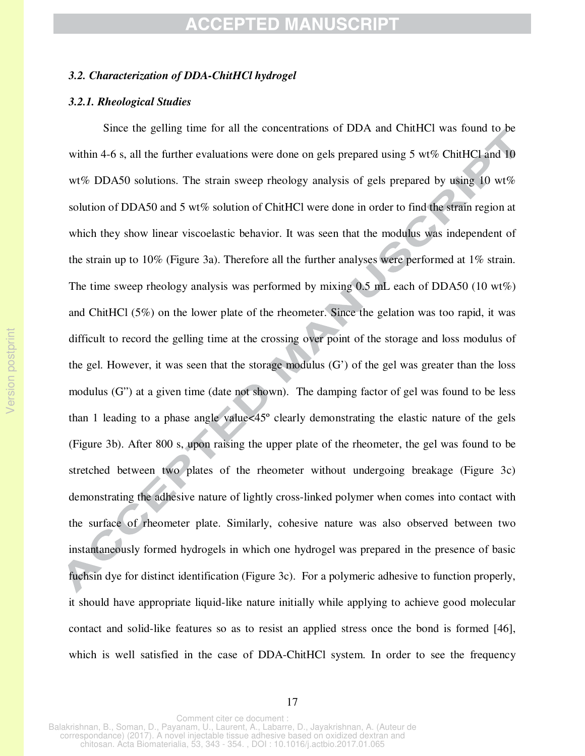#### *3.2. Characterization of DDA-ChitHCl hydrogel*

#### *3.2.1. Rheological Studies*

 Since the gelling time for all the concentrations of DDA and ChitHCl was found to be within 4-6 s, all the further evaluations were done on gels prepared using 5 wt% ChitHCl and 10 wt% DDA50 solutions. The strain sweep rheology analysis of gels prepared by using 10 wt% solution of DDA50 and 5 wt% solution of ChitHCl were done in order to find the strain region at which they show linear viscoelastic behavior. It was seen that the modulus was independent of the strain up to 10% (Figure 3a). Therefore all the further analyses were performed at 1% strain. The time sweep rheology analysis was performed by mixing  $0.5$  mL each of DDA50 (10 wt%) and ChitHCl (5%) on the lower plate of the rheometer. Since the gelation was too rapid, it was difficult to record the gelling time at the crossing over point of the storage and loss modulus of the gel. However, it was seen that the storage modulus (G') of the gel was greater than the loss modulus (G") at a given time (date not shown). The damping factor of gel was found to be less than 1 leading to a phase angle value<45º clearly demonstrating the elastic nature of the gels (Figure 3b). After 800 s, upon raising the upper plate of the rheometer, the gel was found to be stretched between two plates of the rheometer without undergoing breakage (Figure 3c) demonstrating the adhesive nature of lightly cross-linked polymer when comes into contact with the surface of rheometer plate. Similarly, cohesive nature was also observed between two instantaneously formed hydrogels in which one hydrogel was prepared in the presence of basic fuchsin dye for distinct identification (Figure 3c). For a polymeric adhesive to function properly, it should have appropriate liquid-like nature initially while applying to achieve good molecular contact and solid-like features so as to resist an applied stress once the bond is formed [46], which is well satisfied in the case of DDA-ChitHCl system. In order to see the frequency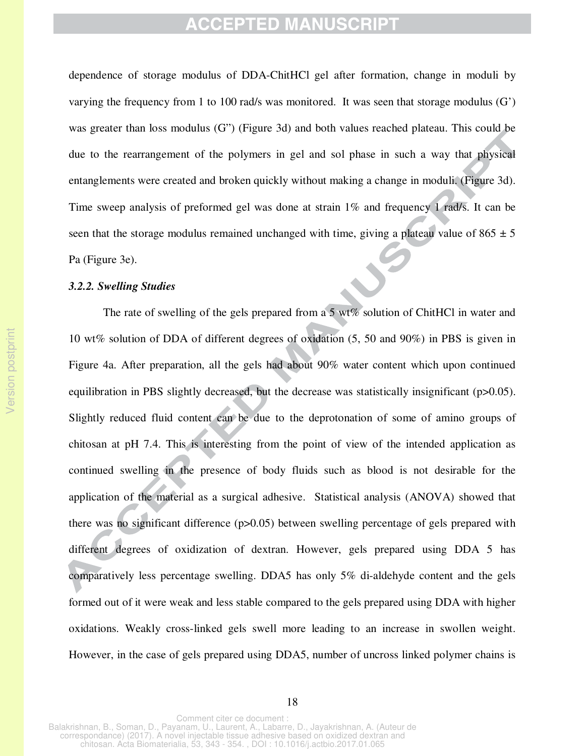dependence of storage modulus of DDA-ChitHCl gel after formation, change in moduli by varying the frequency from 1 to 100 rad/s was monitored. It was seen that storage modulus (G') was greater than loss modulus (G") (Figure 3d) and both values reached plateau. This could be due to the rearrangement of the polymers in gel and sol phase in such a way that physical entanglements were created and broken quickly without making a change in moduli. (Figure 3d). Time sweep analysis of preformed gel was done at strain 1% and frequency 1 rad/s. It can be seen that the storage modulus remained unchanged with time, giving a plateau value of  $865 \pm 5$ Pa (Figure 3e).

#### *3.2.2. Swelling Studies*

The rate of swelling of the gels prepared from a 5 wt% solution of ChitHCl in water and 10 wt% solution of DDA of different degrees of oxidation (5, 50 and 90%) in PBS is given in Figure 4a. After preparation, all the gels had about 90% water content which upon continued equilibration in PBS slightly decreased, but the decrease was statistically insignificant (p>0.05). Slightly reduced fluid content can be due to the deprotonation of some of amino groups of chitosan at pH 7.4. This is interesting from the point of view of the intended application as continued swelling in the presence of body fluids such as blood is not desirable for the application of the material as a surgical adhesive. Statistical analysis (ANOVA) showed that there was no significant difference (p>0.05) between swelling percentage of gels prepared with different degrees of oxidization of dextran. However, gels prepared using DDA 5 has comparatively less percentage swelling. DDA5 has only 5% di-aldehyde content and the gels formed out of it were weak and less stable compared to the gels prepared using DDA with higher oxidations. Weakly cross-linked gels swell more leading to an increase in swollen weight. However, in the case of gels prepared using DDA5, number of uncross linked polymer chains is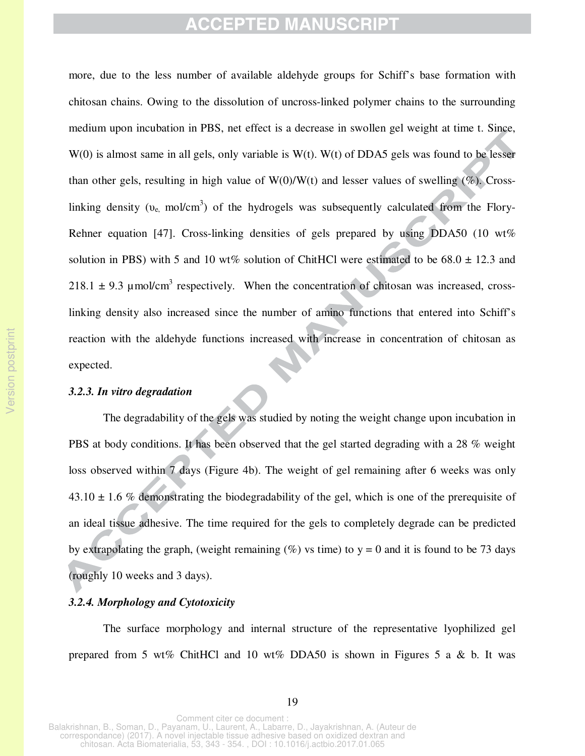more, due to the less number of available aldehyde groups for Schiff's base formation with chitosan chains. Owing to the dissolution of uncross-linked polymer chains to the surrounding medium upon incubation in PBS, net effect is a decrease in swollen gel weight at time t. Since,  $W(0)$  is almost same in all gels, only variable is  $W(t)$ .  $W(t)$  of DDA5 gels was found to be lesser than other gels, resulting in high value of  $W(0)/W(t)$  and lesser values of swelling (%). Crosslinking density ( $v_{e}$ , mol/cm<sup>3</sup>) of the hydrogels was subsequently calculated from the Flory-Rehner equation [47]. Cross-linking densities of gels prepared by using DDA50 (10 wt%) solution in PBS) with 5 and 10 wt% solution of ChitHCl were estimated to be  $68.0 \pm 12.3$  and 218.1  $\pm$  9.3 µmol/cm<sup>3</sup> respectively. When the concentration of chitosan was increased, crosslinking density also increased since the number of amino functions that entered into Schiff's reaction with the aldehyde functions increased with increase in concentration of chitosan as expected.

#### *3.2.3. In vitro degradation*

 The degradability of the gels was studied by noting the weight change upon incubation in PBS at body conditions. It has been observed that the gel started degrading with a 28 % weight loss observed within 7 days (Figure 4b). The weight of gel remaining after 6 weeks was only  $43.10 \pm 1.6$  % demonstrating the biodegradability of the gel, which is one of the prerequisite of an ideal tissue adhesive. The time required for the gels to completely degrade can be predicted by extrapolating the graph, (weight remaining  $(\%)$  vs time) to y = 0 and it is found to be 73 days (roughly 10 weeks and 3 days).

#### *3.2.4. Morphology and Cytotoxicity*

 The surface morphology and internal structure of the representative lyophilized gel prepared from 5 wt% ChitHCl and 10 wt% DDA50 is shown in Figures 5 a & b. It was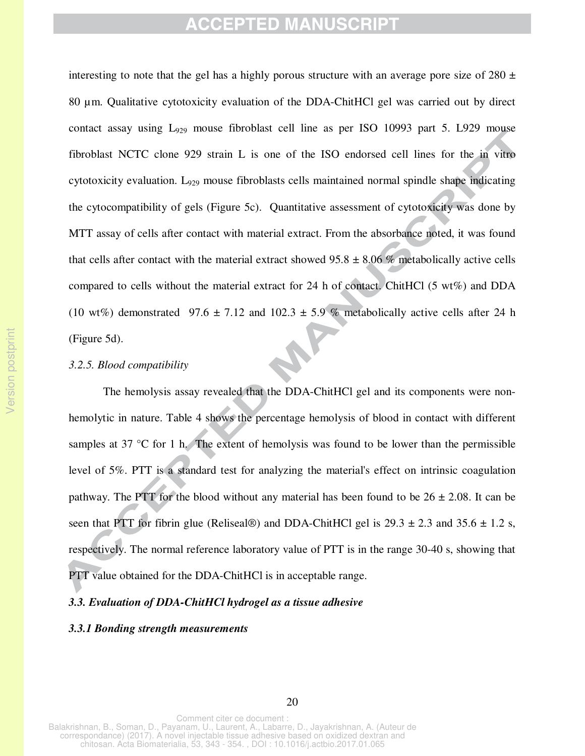interesting to note that the gel has a highly porous structure with an average pore size of 280  $\pm$ 80 µm. Qualitative cytotoxicity evaluation of the DDA-ChitHCl gel was carried out by direct contact assay using  $L_{929}$  mouse fibroblast cell line as per ISO 10993 part 5. L929 mouse fibroblast NCTC clone 929 strain L is one of the ISO endorsed cell lines for the in vitro cytotoxicity evaluation.  $L_{929}$  mouse fibroblasts cells maintained normal spindle shape indicating the cytocompatibility of gels (Figure 5c). Quantitative assessment of cytotoxicity was done by MTT assay of cells after contact with material extract. From the absorbance noted, it was found that cells after contact with the material extract showed  $95.8 \pm 8.06$  % metabolically active cells compared to cells without the material extract for 24 h of contact. ChitHCl  $(5 \text{ wt}\%)$  and DDA (10 wt%) demonstrated 97.6  $\pm$  7.12 and 102.3  $\pm$  5.9 % metabolically active cells after 24 h (Figure 5d).

#### *3.2.5. Blood compatibility*

Version postprint

Version postprint

The hemolysis assay revealed that the DDA-ChitHCl gel and its components were nonhemolytic in nature. Table 4 shows the percentage hemolysis of blood in contact with different samples at 37 °C for 1 h. The extent of hemolysis was found to be lower than the permissible level of 5%. PTT is a standard test for analyzing the material's effect on intrinsic coagulation pathway. The PTT for the blood without any material has been found to be  $26 \pm 2.08$ . It can be seen that PTT for fibrin glue (Reliseal®) and DDA-ChitHCl gel is  $29.3 \pm 2.3$  and  $35.6 \pm 1.2$  s, respectively. The normal reference laboratory value of PTT is in the range 30-40 s, showing that PTT value obtained for the DDA-ChitHCl is in acceptable range.

#### *3.3. Evaluation of DDA-ChitHCl hydrogel as a tissue adhesive*

#### *3.3.1 Bonding strength measurements*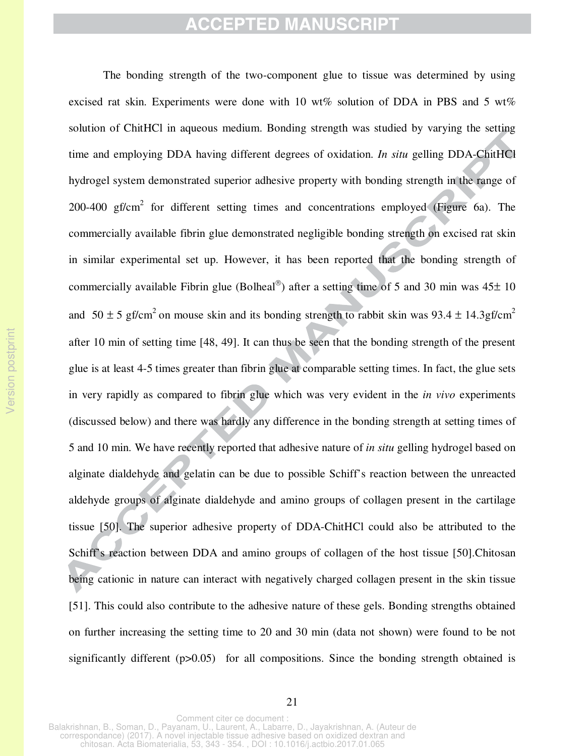The bonding strength of the two-component glue to tissue was determined by using excised rat skin. Experiments were done with 10 wt% solution of DDA in PBS and 5 wt% solution of ChitHCl in aqueous medium. Bonding strength was studied by varying the setting time and employing DDA having different degrees of oxidation. *In situ* gelling DDA-ChitHCl hydrogel system demonstrated superior adhesive property with bonding strength in the range of 200-400  $gf/cm<sup>2</sup>$  for different setting times and concentrations employed (Figure 6a). The commercially available fibrin glue demonstrated negligible bonding strength on excised rat skin in similar experimental set up. However, it has been reported that the bonding strength of commercially available Fibrin glue (Bolheal<sup>®</sup>) after a setting time of 5 and 30 min was  $45\pm 10$ and  $50 \pm 5$  gf/cm<sup>2</sup> on mouse skin and its bonding strength to rabbit skin was 93.4  $\pm$  14.3gf/cm<sup>2</sup> after 10 min of setting time [48, 49]. It can thus be seen that the bonding strength of the present glue is at least 4-5 times greater than fibrin glue at comparable setting times. In fact, the glue sets in very rapidly as compared to fibrin glue which was very evident in the *in vivo* experiments (discussed below) and there was hardly any difference in the bonding strength at setting times of 5 and 10 min. We have recently reported that adhesive nature of *in situ* gelling hydrogel based on alginate dialdehyde and gelatin can be due to possible Schiff's reaction between the unreacted aldehyde groups of alginate dialdehyde and amino groups of collagen present in the cartilage tissue [50]. The superior adhesive property of DDA-ChitHCl could also be attributed to the Schiff's reaction between DDA and amino groups of collagen of the host tissue [50].Chitosan being cationic in nature can interact with negatively charged collagen present in the skin tissue [51]. This could also contribute to the adhesive nature of these gels. Bonding strengths obtained on further increasing the setting time to 20 and 30 min (data not shown) were found to be not significantly different (p>0.05) for all compositions. Since the bonding strength obtained is

21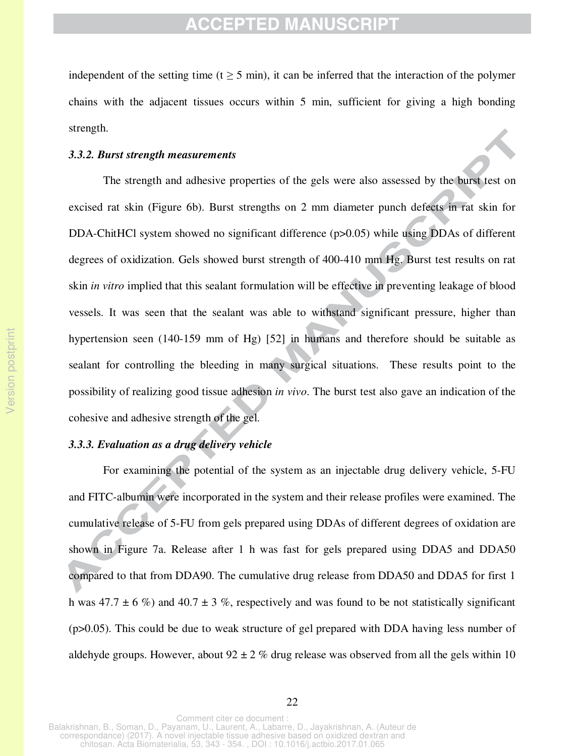independent of the setting time  $(t > 5 \text{ min})$ , it can be inferred that the interaction of the polymer chains with the adjacent tissues occurs within 5 min, sufficient for giving a high bonding strength.

#### *3.3.2. Burst strength measurements*

 The strength and adhesive properties of the gels were also assessed by the burst test on excised rat skin (Figure 6b). Burst strengths on 2 mm diameter punch defects in rat skin for DDA-ChitHCl system showed no significant difference (p>0.05) while using DDAs of different degrees of oxidization. Gels showed burst strength of 400-410 mm Hg. Burst test results on rat skin *in vitro* implied that this sealant formulation will be effective in preventing leakage of blood vessels. It was seen that the sealant was able to withstand significant pressure, higher than hypertension seen (140-159 mm of Hg) [52] in humans and therefore should be suitable as sealant for controlling the bleeding in many surgical situations. These results point to the possibility of realizing good tissue adhesion *in vivo*. The burst test also gave an indication of the cohesive and adhesive strength of the gel.

#### *3.3.3. Evaluation as a drug delivery vehicle*

For examining the potential of the system as an injectable drug delivery vehicle, 5-FU and FITC-albumin were incorporated in the system and their release profiles were examined. The cumulative release of 5-FU from gels prepared using DDAs of different degrees of oxidation are shown in Figure 7a. Release after 1 h was fast for gels prepared using DDA5 and DDA50 compared to that from DDA90. The cumulative drug release from DDA50 and DDA5 for first 1 h was  $47.7 \pm 6 \%$ ) and  $40.7 \pm 3 \%$ , respectively and was found to be not statistically significant (p>0.05). This could be due to weak structure of gel prepared with DDA having less number of aldehyde groups. However, about  $92 \pm 2$  % drug release was observed from all the gels within 10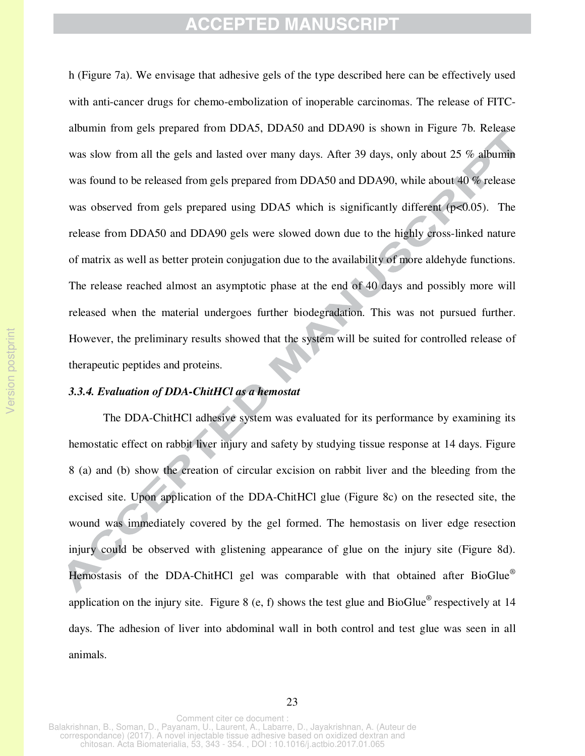h (Figure 7a). We envisage that adhesive gels of the type described here can be effectively used with anti-cancer drugs for chemo-embolization of inoperable carcinomas. The release of FITCalbumin from gels prepared from DDA5, DDA50 and DDA90 is shown in Figure 7b. Release was slow from all the gels and lasted over many days. After 39 days, only about 25 % albumin was found to be released from gels prepared from DDA50 and DDA90, while about 40 % release was observed from gels prepared using DDA5 which is significantly different (p<0.05). The release from DDA50 and DDA90 gels were slowed down due to the highly cross-linked nature of matrix as well as better protein conjugation due to the availability of more aldehyde functions. The release reached almost an asymptotic phase at the end of 40 days and possibly more will released when the material undergoes further biodegradation. This was not pursued further. However, the preliminary results showed that the system will be suited for controlled release of therapeutic peptides and proteins.

#### *3.3.4. Evaluation of DDA-ChitHCl as a hemostat*

The DDA-ChitHCl adhesive system was evaluated for its performance by examining its hemostatic effect on rabbit liver injury and safety by studying tissue response at 14 days. Figure 8 (a) and (b) show the creation of circular excision on rabbit liver and the bleeding from the excised site. Upon application of the DDA-ChitHCl glue (Figure 8c) on the resected site, the wound was immediately covered by the gel formed. The hemostasis on liver edge resection injury could be observed with glistening appearance of glue on the injury site (Figure 8d). Hemostasis of the DDA-ChitHCl gel was comparable with that obtained after BioGlue<sup>®</sup> application on the injury site. Figure 8 (e, f) shows the test glue and  $BioGlue<sup>®</sup>$  respectively at 14 days. The adhesion of liver into abdominal wall in both control and test glue was seen in all animals.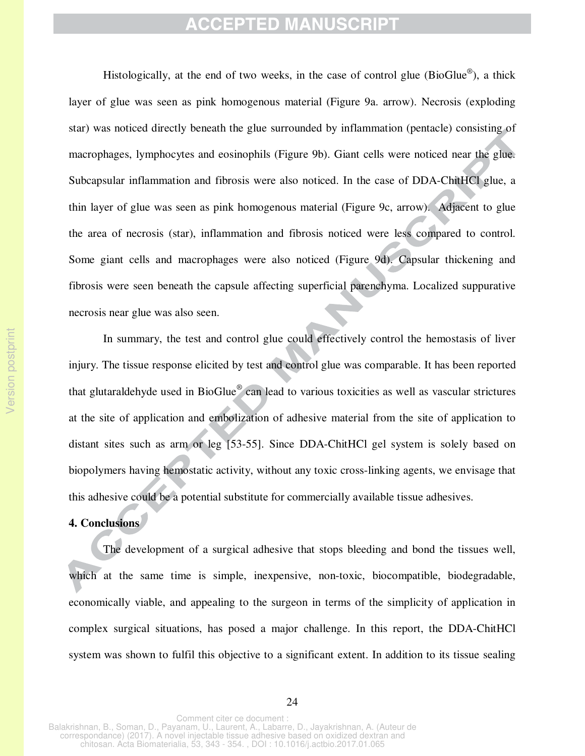Histologically, at the end of two weeks, in the case of control glue (BioGlue®), a thick layer of glue was seen as pink homogenous material (Figure 9a. arrow). Necrosis (exploding star) was noticed directly beneath the glue surrounded by inflammation (pentacle) consisting of macrophages, lymphocytes and eosinophils (Figure 9b). Giant cells were noticed near the glue. Subcapsular inflammation and fibrosis were also noticed. In the case of DDA-ChitHCl glue, a thin layer of glue was seen as pink homogenous material (Figure 9c, arrow). Adjacent to glue the area of necrosis (star), inflammation and fibrosis noticed were less compared to control. Some giant cells and macrophages were also noticed (Figure 9d). Capsular thickening and fibrosis were seen beneath the capsule affecting superficial parenchyma. Localized suppurative necrosis near glue was also seen.

In summary, the test and control glue could effectively control the hemostasis of liver injury. The tissue response elicited by test and control glue was comparable. It has been reported that glutaraldehyde used in BioGlue<sup>®</sup> can lead to various toxicities as well as vascular strictures at the site of application and embolization of adhesive material from the site of application to distant sites such as arm or leg [53-55]. Since DDA-ChitHCl gel system is solely based on biopolymers having hemostatic activity, without any toxic cross-linking agents, we envisage that this adhesive could be a potential substitute for commercially available tissue adhesives.

#### **4. Conclusions**

The development of a surgical adhesive that stops bleeding and bond the tissues well, which at the same time is simple, inexpensive, non-toxic, biocompatible, biodegradable, economically viable, and appealing to the surgeon in terms of the simplicity of application in complex surgical situations, has posed a major challenge. In this report, the DDA-ChitHCl system was shown to fulfil this objective to a significant extent. In addition to its tissue sealing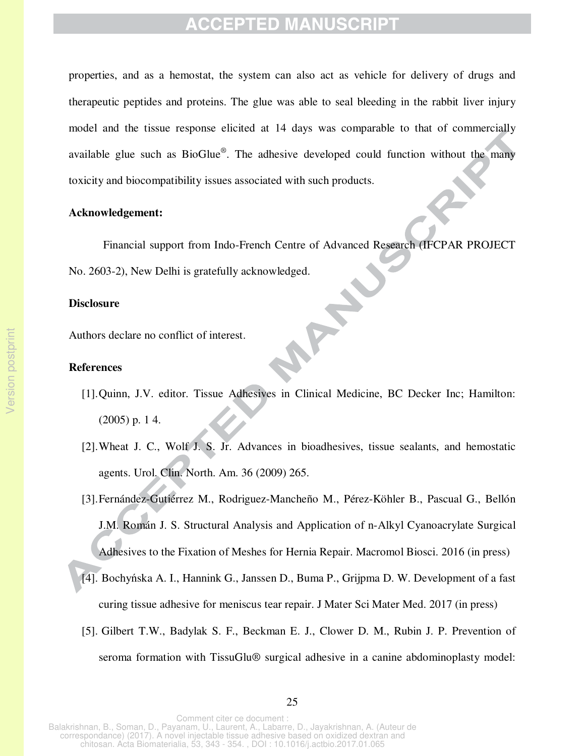properties, and as a hemostat, the system can also act as vehicle for delivery of drugs and therapeutic peptides and proteins. The glue was able to seal bleeding in the rabbit liver injury model and the tissue response elicited at 14 days was comparable to that of commercially available glue such as BioGlue®. The adhesive developed could function without the many toxicity and biocompatibility issues associated with such products.

### **Acknowledgement:**

Financial support from Indo-French Centre of Advanced Research (IFCPAR PROJECT No. 2603-2), New Delhi is gratefully acknowledged.

#### **Disclosure**

Authors declare no conflict of interest.

#### **References**

[1].Quinn, J.V. editor. Tissue Adhesives in Clinical Medicine, BC Decker Inc; Hamilton: (2005) p. 1 4.

**ARY** 

- [2].Wheat J. C., Wolf J. S. Jr. Advances in bioadhesives, tissue sealants, and hemostatic agents. Urol. Clin. North. Am. 36 (2009) 265.
- [3].Fernández-Gutiérrez M., Rodriguez-Mancheño M., Pérez-Köhler B., Pascual G., Bellón J.M. Román J. S. Structural Analysis and Application of n-Alkyl Cyanoacrylate Surgical Adhesives to the Fixation of Meshes for Hernia Repair. Macromol Biosci. 2016 (in press)
- [4]. Bochyńska A. I., Hannink G., Janssen D., Buma P., Grijpma D. W. Development of a fast curing tissue adhesive for meniscus tear repair. J Mater Sci Mater Med. 2017 (in press)
- [5]. Gilbert T.W., Badylak S. F., Beckman E. J., Clower D. M., Rubin J. P. Prevention of seroma formation with TissuGlu® surgical adhesive in a canine abdominoplasty model: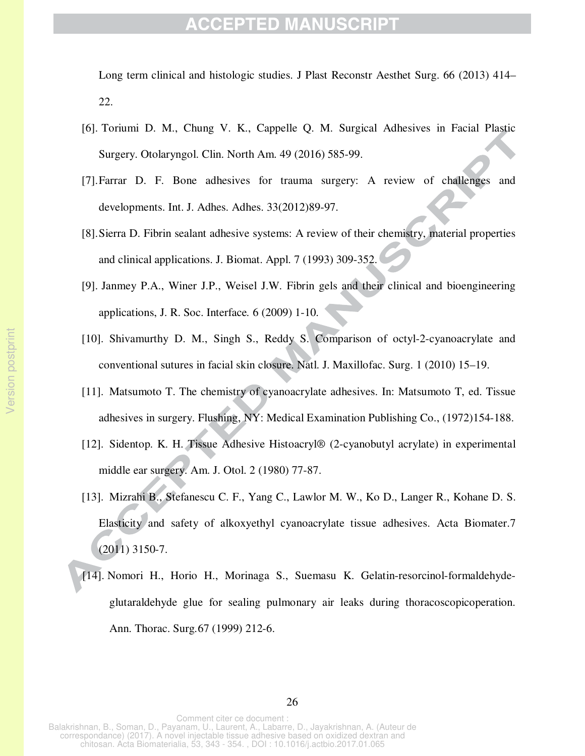Long term clinical and histologic studies. J Plast Reconstr Aesthet Surg. 66 (2013) 414– 22.

- [6]. Toriumi D. M., Chung V. K., Cappelle Q. M. Surgical Adhesives in Facial Plastic Surgery. Otolaryngol. Clin. North Am. 49 (2016) 585-99.
- [7].Farrar D. F. Bone adhesives for trauma surgery: A review of challenges and developments. Int. J. Adhes. Adhes. 33(2012)89-97.
- [8].Sierra D. Fibrin sealant adhesive systems: A review of their chemistry, material properties and clinical applications. J. Biomat. Appl. 7 (1993) 309-352.
- [9]. Janmey P.A., Winer J.P., Weisel J.W. Fibrin gels and their clinical and bioengineering applications, J. R. Soc. Interface*.* 6 (2009) 1-10.
- [10]. Shivamurthy D. M., Singh S., Reddy S. Comparison of octyl-2-cyanoacrylate and conventional sutures in facial skin closure. Natl. J. Maxillofac. Surg. 1 (2010) 15–19.
- [11]. Matsumoto T. The chemistry of cyanoacrylate adhesives. In: Matsumoto T, ed. Tissue adhesives in surgery. Flushing, NY: Medical Examination Publishing Co., (1972)154-188.
- [12]. Sidentop. K. H. Tissue Adhesive Histoacryl® (2-cyanobutyl acrylate) in experimental middle ear surgery. Am. J. Otol. 2 (1980) 77-87.
- [13]. Mizrahi B., Stefanescu C. F., Yang C., Lawlor M. W., Ko D., Langer R., Kohane D. S. Elasticity and safety of alkoxyethyl cyanoacrylate tissue adhesives. Acta Biomater.7 (2011) 3150-7.
- [14]. Nomori H., Horio H., Morinaga S., Suemasu K. Gelatin-resorcinol-formaldehydeglutaraldehyde glue for sealing pulmonary air leaks during thoracoscopicoperation. Ann. Thorac. Surg*.*67 (1999) 212-6.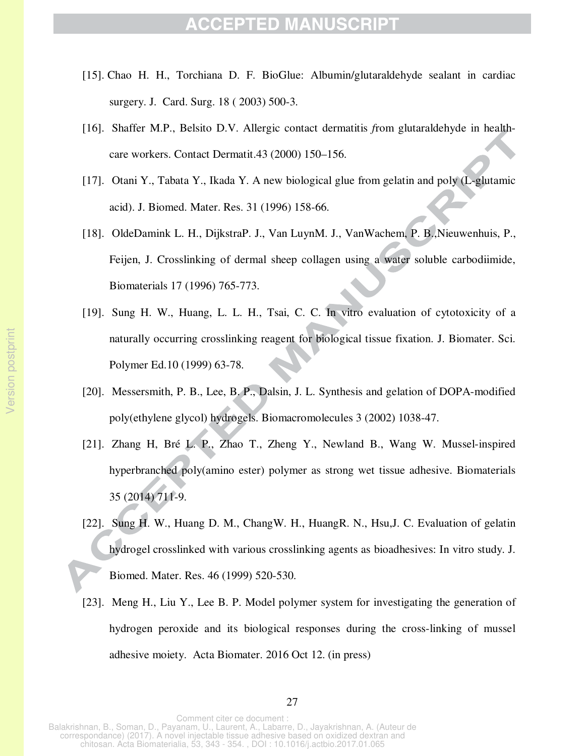- [15]. Chao H. H., Torchiana D. F. BioGlue: Albumin/glutaraldehyde sealant in cardiac surgery. J. Card. Surg. 18 ( 2003) 500-3.
- [16]. Shaffer M.P., Belsito D.V. Allergic contact dermatitis *f*rom glutaraldehyde in healthcare workers. Contact Dermatit.43 (2000) 150–156.
- [17]. Otani Y., Tabata Y., Ikada Y. A new biological glue from gelatin and poly (L-glutamic acid). J. Biomed. Mater. Res. 31 (1996) 158-66.
- [18]. OldeDamink L. H., DijkstraP. J., Van LuynM. J., VanWachem, P. B.,Nieuwenhuis, P., Feijen, J. Crosslinking of dermal sheep collagen using a water soluble carbodiimide, Biomaterials 17 (1996) 765-773.
- [19]. Sung H. W., Huang, L. L. H., Tsai, C. C. In vitro evaluation of cytotoxicity of a naturally occurring crosslinking reagent for biological tissue fixation. J. Biomater. Sci. Polymer Ed.10 (1999) 63-78.
- [20]. Messersmith, P. B., Lee, B. P., Dalsin, J. L. Synthesis and gelation of DOPA-modified poly(ethylene glycol) hydrogels. Biomacromolecules 3 (2002) 1038-47.
- [21]. Zhang H, Bré L. P., Zhao T., Zheng Y., Newland B., Wang W. Mussel-inspired hyperbranched poly(amino ester) polymer as strong wet tissue adhesive. Biomaterials 35 (2014) 711-9.
- [22]. Sung H. W., Huang D. M., ChangW. H., HuangR. N., Hsu,J. C. Evaluation of gelatin hydrogel crosslinked with various crosslinking agents as bioadhesives: In vitro study. J. Biomed. Mater. Res. 46 (1999) 520-530.
- [23]. Meng H., Liu Y., Lee B. P. Model polymer system for investigating the generation of hydrogen peroxide and its biological responses during the cross-linking of mussel adhesive moiety. Acta Biomater. 2016 Oct 12. (in press)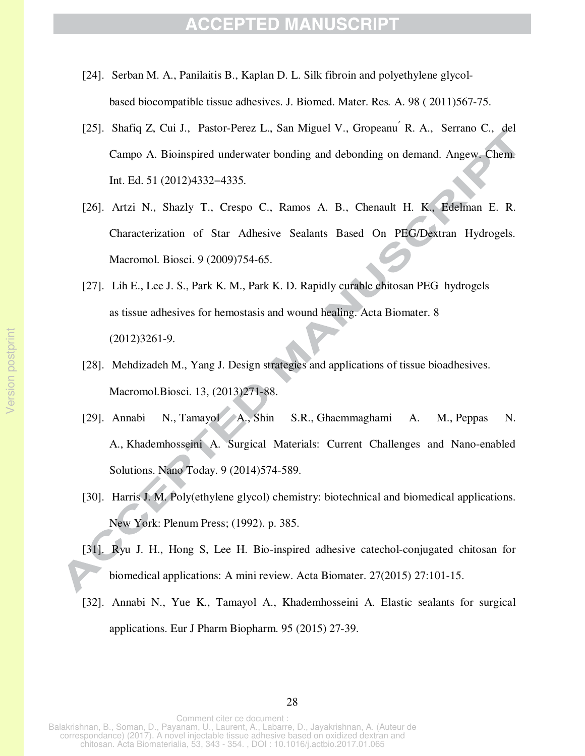- [24]. Serban M. A., Panilaitis B., Kaplan D. L. Silk fibroin and polyethylene glycolbased biocompatible tissue adhesives. J. Biomed. Mater. Res*.* A. 98 ( 2011)567-75.
- [25]. Shafiq Z, Cui J., Pastor-Perez L., San Miguel V., Gropeanu R. A., Serrano C., del Campo A. Bioinspired underwater bonding and debonding on demand. Angew. Chem. Int. Ed. 51 (2012)4332−4335.
- [26]. Artzi N., Shazly T., Crespo C., Ramos A. B., Chenault H. K., Edelman E. R. Characterization of Star Adhesive Sealants Based On PEG/Dextran Hydrogels. Macromol. Biosci. 9 (2009)754-65.
- [27]. Lih E., Lee J. S., Park K. M., Park K. D. Rapidly curable chitosan PEG hydrogels as tissue adhesives for hemostasis and wound healing. Acta Biomater. 8 (2012)3261-9.
- [28]. Mehdizadeh M., Yang J. Design strategies and applications of tissue bioadhesives. Macromol.Biosci. 13, (2013)271-88.
- [29]. Annabi N., Tamayol A., Shin S.R., Ghaemmaghami A. M., Peppas N. A., Khademhosseini A. Surgical Materials: Current Challenges and Nano-enabled Solutions. Nano Today. 9 (2014)574-589.
- [30]. Harris J. M. Poly(ethylene glycol) chemistry: biotechnical and biomedical applications. New York: Plenum Press; (1992). p. 385.
- [31]. Ryu J. H., Hong S, Lee H. Bio-inspired adhesive catechol-conjugated chitosan for biomedical applications: A mini review. Acta Biomater. 27(2015) 27:101-15.
- [32]. Annabi N., Yue K., Tamayol A., Khademhosseini A. Elastic sealants for surgical applications. Eur J Pharm Biopharm. 95 (2015) 27-39.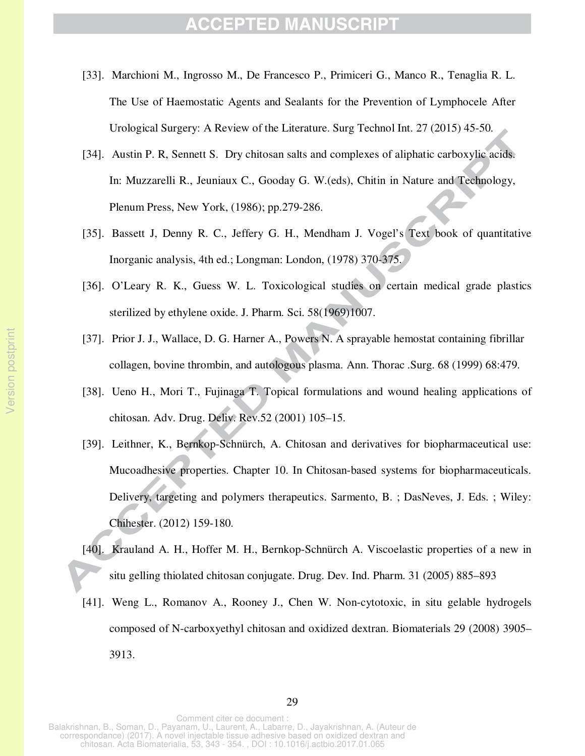- [33]. Marchioni M., Ingrosso M., De Francesco P., Primiceri G., Manco R., Tenaglia R. L. The Use of Haemostatic Agents and Sealants for the Prevention of Lymphocele After Urological Surgery: A Review of the Literature. Surg Technol Int. 27 (2015) 45-50.
- [34]. Austin P. R, Sennett S. Dry chitosan salts and complexes of aliphatic carboxylic acids. In: Muzzarelli R., Jeuniaux C., Gooday G. W.(eds), Chitin in Nature and Technology, Plenum Press, New York, (1986); pp.279-286.
- [35]. Bassett J, Denny R. C., Jeffery G. H., Mendham J. Vogel's Text book of quantitative Inorganic analysis, 4th ed.; Longman: London, (1978) 370-375.
- [36]. O'Leary R. K., Guess W. L. Toxicological studies on certain medical grade plastics sterilized by ethylene oxide. J. Pharm. Sci. 58(1969)1007.
- [37]. Prior J. J., Wallace, D. G. Harner A., Powers N. A sprayable hemostat containing fibrillar collagen, bovine thrombin, and autologous plasma. Ann. Thorac .Surg. 68 (1999) 68:479.
- [38]. Ueno H., Mori T., Fujinaga T. Topical formulations and wound healing applications of chitosan. Adv. Drug. Deliv. Rev.52 (2001) 105–15.
- [39]. Leithner, K., Bernkop-Schnürch, A. Chitosan and derivatives for biopharmaceutical use: Mucoadhesive properties. Chapter 10. In Chitosan-based systems for biopharmaceuticals. Delivery, targeting and polymers therapeutics. Sarmento, B. ; DasNeves, J. Eds. ; Wiley: Chihester. (2012) 159-180.
- [40]. Krauland A. H., Hoffer M. H., Bernkop-Schnürch A. Viscoelastic properties of a new in situ gelling thiolated chitosan conjugate. Drug. Dev. Ind. Pharm. 31 (2005) 885–893
- [41]. Weng L., Romanov A., Rooney J., Chen W. Non-cytotoxic, in situ gelable hydrogels composed of N-carboxyethyl chitosan and oxidized dextran. Biomaterials 29 (2008) 3905– 3913.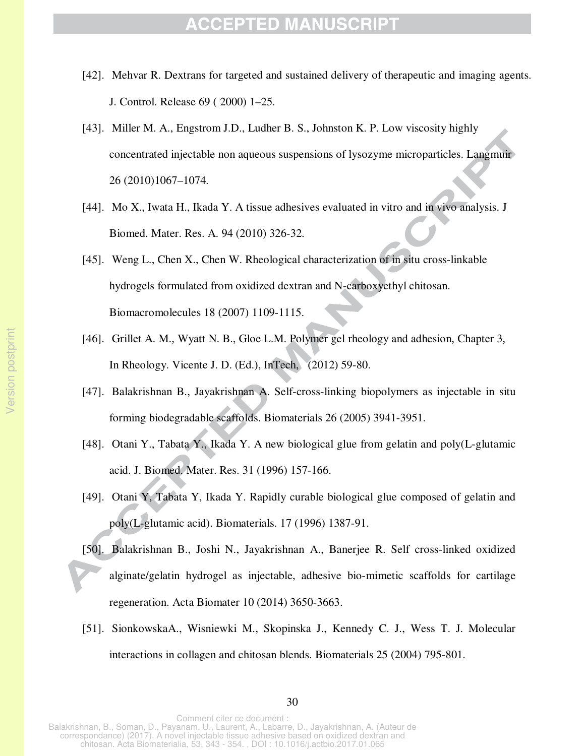- [42]. Mehvar R. Dextrans for targeted and sustained delivery of therapeutic and imaging agents. J. Control. Release 69 ( 2000) 1–25.
- [43]. Miller M. A., Engstrom J.D., Ludher B. S., Johnston K. P. Low viscosity highly concentrated injectable non aqueous suspensions of lysozyme microparticles. Langmuir 26 (2010)1067–1074.
- [44]. Mo X., Iwata H., Ikada Y. A tissue adhesives evaluated in vitro and in vivo analysis. J Biomed. Mater. Res. A. 94 (2010) 326-32.
- [45]. Weng L., Chen X., Chen W. Rheological characterization of in situ cross-linkable hydrogels formulated from oxidized dextran and N-carboxyethyl chitosan. Biomacromolecules 18 (2007) 1109-1115.
- [46]. Grillet A. M., Wyatt N. B., Gloe L.M. Polymer gel rheology and adhesion, Chapter 3, In Rheology. Vicente J. D. (Ed.), InTech, (2012) 59-80.
- [47]. Balakrishnan B., Jayakrishnan A. Self-cross-linking biopolymers as injectable in situ forming biodegradable scaffolds. Biomaterials 26 (2005) 3941-3951.
- [48]. Otani Y., Tabata Y., Ikada Y. A new biological glue from gelatin and poly(L-glutamic acid. J. Biomed. Mater. Res. 31 (1996) 157-166.
- [49]. Otani Y, Tabata Y, Ikada Y. Rapidly curable biological glue composed of gelatin and poly(L-glutamic acid). Biomaterials. 17 (1996) 1387-91.
- [50]. Balakrishnan B., Joshi N., Jayakrishnan A., Banerjee R. Self cross-linked oxidized alginate/gelatin hydrogel as injectable, adhesive bio-mimetic scaffolds for cartilage regeneration. Acta Biomater 10 (2014) 3650-3663.
- [51]. SionkowskaA., Wisniewki M., Skopinska J., Kennedy C. J., Wess T. J. Molecular interactions in collagen and chitosan blends. Biomaterials 25 (2004) 795-801.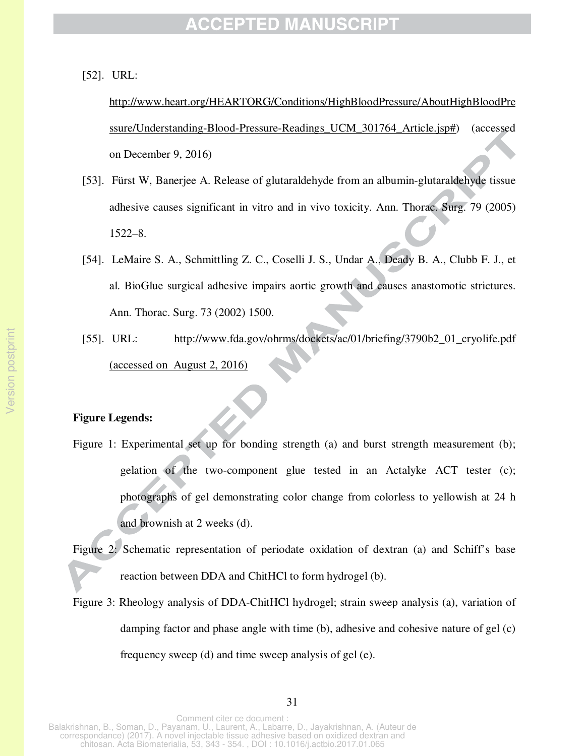[52]. URL:

http://www.heart.org/HEARTORG/Conditions/HighBloodPressure/AboutHighBloodPre ssure/Understanding-Blood-Pressure-Readings\_UCM\_301764\_Article.jsp#) (accessed on December 9, 2016)

- [53]. Fürst W, Banerjee A. Release of glutaraldehyde from an albumin-glutaraldehyde tissue adhesive causes significant in vitro and in vivo toxicity. Ann. Thorac. Surg. 79 (2005) 1522–8.
- [54]. LeMaire S. A., Schmittling Z. C., Coselli J. S., Undar A., Deady B. A., Clubb F. J., et al. BioGlue surgical adhesive impairs aortic growth and causes anastomotic strictures. Ann. Thorac. Surg. 73 (2002) 1500.
- [55]. URL: http://www.fda.gov/ohrms/dockets/ac/01/briefing/3790b2\_01\_cryolife.pdf (accessed on August 2, 2016)

#### **Figure Legends:**

- Figure 1: Experimental set up for bonding strength (a) and burst strength measurement (b); gelation of the two-component glue tested in an Actalyke ACT tester (c); photographs of gel demonstrating color change from colorless to yellowish at 24 h and brownish at 2 weeks (d).
- Figure 2: Schematic representation of periodate oxidation of dextran (a) and Schiff's base reaction between DDA and ChitHCl to form hydrogel (b).
- Figure 3: Rheology analysis of DDA-ChitHCl hydrogel; strain sweep analysis (a), variation of damping factor and phase angle with time (b), adhesive and cohesive nature of gel (c) frequency sweep (d) and time sweep analysis of gel (e).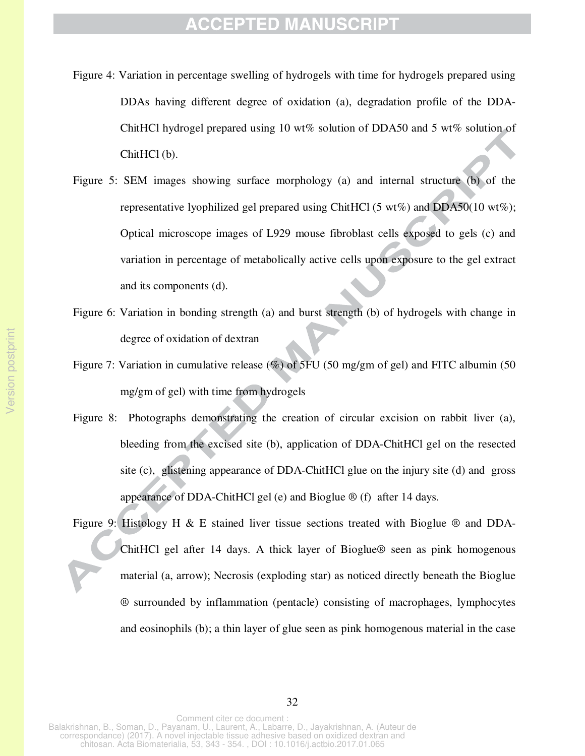- Figure 4: Variation in percentage swelling of hydrogels with time for hydrogels prepared using DDAs having different degree of oxidation (a), degradation profile of the DDA-ChitHCl hydrogel prepared using 10 wt% solution of DDA50 and 5 wt% solution of ChitHCl (b).
- Figure 5: SEM images showing surface morphology (a) and internal structure (b) of the representative lyophilized gel prepared using ChitHCl (5 wt%) and DDA50(10 wt%); Optical microscope images of L929 mouse fibroblast cells exposed to gels (c) and variation in percentage of metabolically active cells upon exposure to the gel extract and its components (d).
- Figure 6: Variation in bonding strength (a) and burst strength (b) of hydrogels with change in degree of oxidation of dextran
- Figure 7: Variation in cumulative release (%) of 5FU (50 mg/gm of gel) and FITC albumin (50 mg/gm of gel) with time from hydrogels
- Figure 8: Photographs demonstrating the creation of circular excision on rabbit liver (a), bleeding from the excised site (b), application of DDA-ChitHCl gel on the resected site (c), glistening appearance of DDA-ChitHCl glue on the injury site (d) and gross appearance of DDA-ChitHCl gel (e) and Bioglue  $\mathcal{D}$  (f) after 14 days.
- Figure 9: Histology H & E stained liver tissue sections treated with Bioglue  $\circledR$  and DDA-ChitHCl gel after 14 days. A thick layer of Bioglue® seen as pink homogenous material (a, arrow); Necrosis (exploding star) as noticed directly beneath the Bioglue ® surrounded by inflammation (pentacle) consisting of macrophages, lymphocytes and eosinophils (b); a thin layer of glue seen as pink homogenous material in the case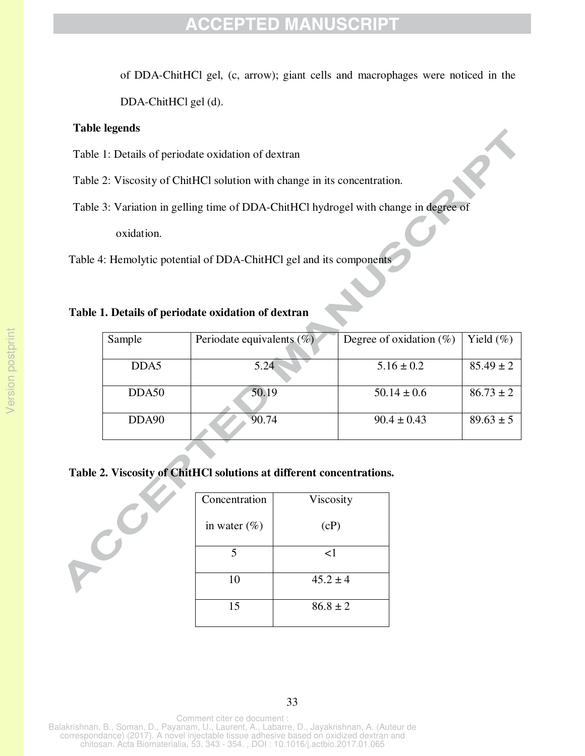of DDA-ChitHCl gel, (c, arrow); giant cells and macrophages were noticed in the

DDA-ChitHCl gel (d).

#### **Table legends**

ACC

- Table 1: Details of periodate oxidation of dextran
- Table 2: Viscosity of ChitHCl solution with change in its concentration.
- Table 3: Variation in gelling time of DDA-ChitHCl hydrogel with change in degree of

oxidation.

Table 4: Hemolytic potential of DDA-ChitHCl gel and its components

### **Table 1. Details of periodate oxidation of dextran**

| Sample            | Periodate equivalents $(\%)$ | Degree of oxidation $(\%)$ | Yield $(\%)$  |
|-------------------|------------------------------|----------------------------|---------------|
| DDA5              | 5.24                         | $5.16 \pm 0.2$             | $85.49 \pm 2$ |
| DDA50             | 50.19                        | $50.14 \pm 0.6$            | $86.73 \pm 2$ |
| DDA <sub>90</sub> | 90.74                        | $90.4 \pm 0.43$            | $89.63 \pm 5$ |

### **Table 2. Viscosity of ChitHCl solutions at different concentrations.**

| Concentration   | Viscosity    |
|-----------------|--------------|
| in water $(\%)$ | (cP)         |
| 5               | $\leq$ 1     |
| 10              | $45.2 \pm 4$ |
| 15              | $86.8 \pm 2$ |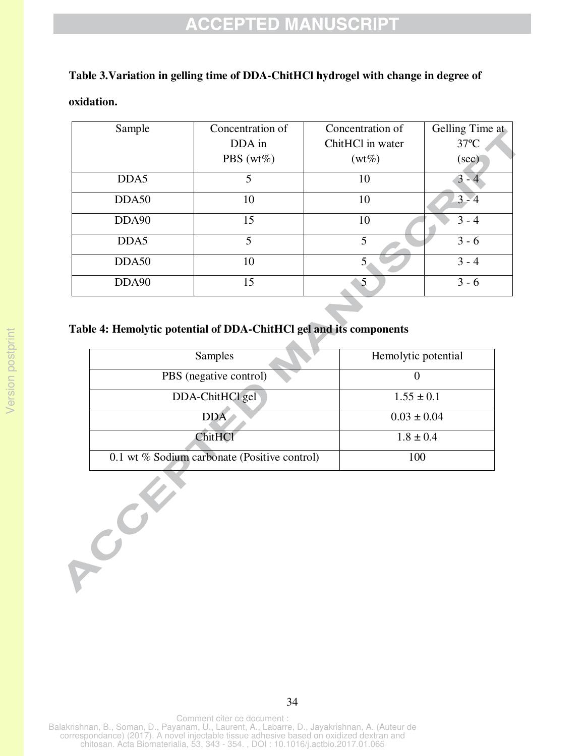### **Table 3.Variation in gelling time of DDA-ChitHCl hydrogel with change in degree of**

#### **oxidation.**

| Sample | Concentration of | Concentration of | Gelling Time at |
|--------|------------------|------------------|-----------------|
|        | DDA in           | ChitHCl in water | $37^{\circ}$ C  |
|        | PBS ( $wt\%$ )   | $(wt\%)$         | (sec)           |
| DDA5   | 5                | 10               | $3 - 4$         |
| DDA50  | 10               | 10               | $3 - 4$         |
| DDA90  | 15               | 10               | $3 - 4$         |
| DDA5   | 5                | 5                | $3 - 6$         |
| DDA50  | 10               |                  | $3 - 4$         |
| DDA90  | 15               | 5                | $3 - 6$         |

### **Table 4: Hemolytic potential of DDA-ChitHCl gel and its components**

| Samples                                      | Hemolytic potential |  |
|----------------------------------------------|---------------------|--|
| PBS (negative control)                       |                     |  |
| DDA-ChitHCl gel                              | $1.55 \pm 0.1$      |  |
| <b>DDA</b>                                   | $0.03 \pm 0.04$     |  |
| <b>ChitHCl</b>                               | $1.8 \pm 0.4$       |  |
| 0.1 wt % Sodium carbonate (Positive control) | 100                 |  |

Comment citer ce document : Balakrishnan, B., Soman, D., Payanam, U., Laurent, A., Labarre, D., Jayakrishnan, A. (Auteur de correspondance) (2017). A novel injectable tissue adhesive based on oxidized dextran and chitosan. Acta Biomaterialia, 53, 343 - 354. , DOI : 10.1016/j.actbio.2017.01.065

COM

34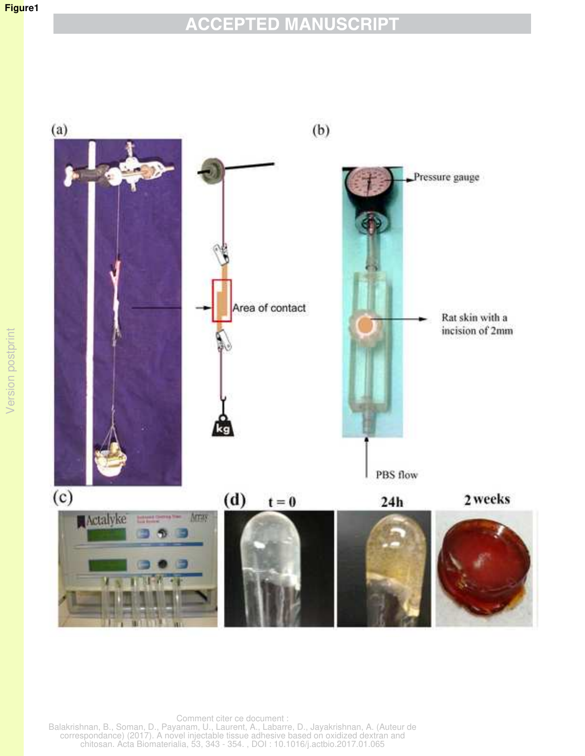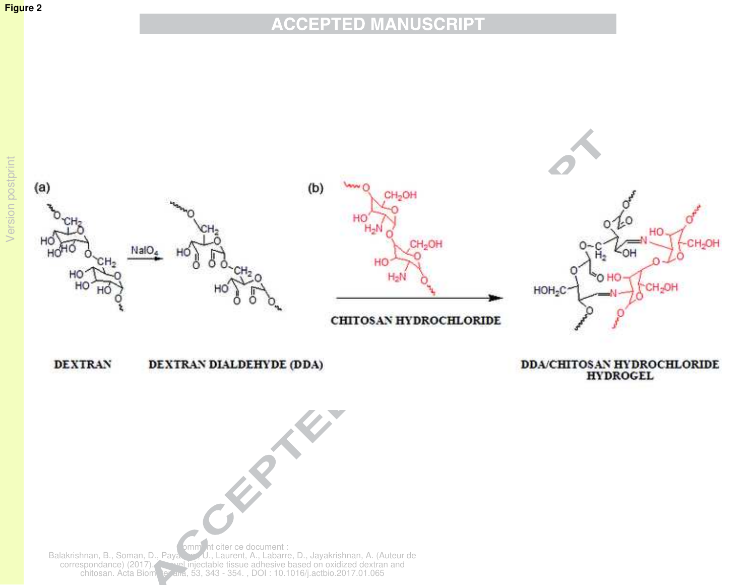### **Figure 2**

# **ACCEPTED MANUSCRIPT**

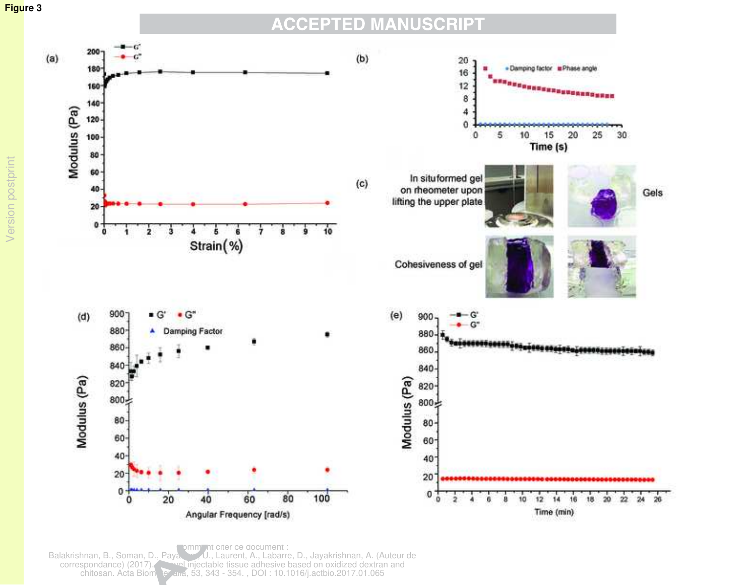

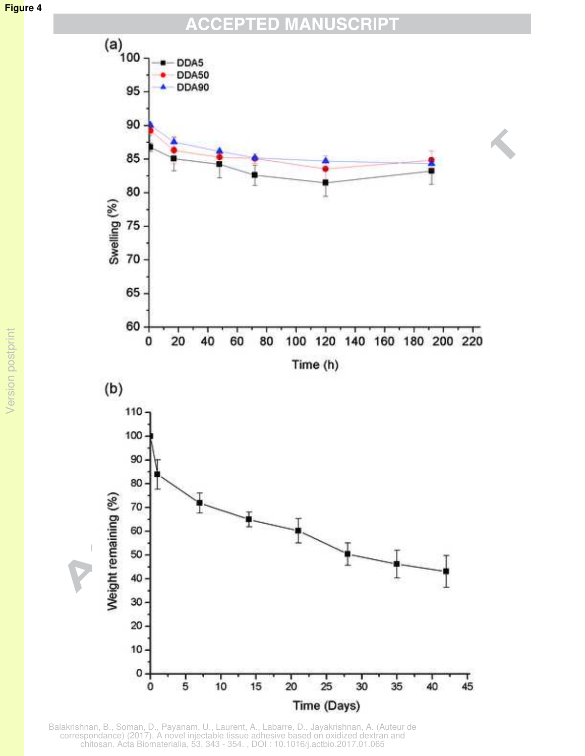#### **CCEPTED MANUSCRIPT**  $\Delta$



Balakrishnan, B., Soman, D., Payanam, U., Laurent, A., Labarre, D., Jayakrishnan, A. (Auteur de correspondance) (2017). A novel injectable tissue adhesive based on oxidized dextran and chitosan. Acta Biomaterialia, 53, 343 - 354. , DOI : 10.1016/j.actbio.2017.01.065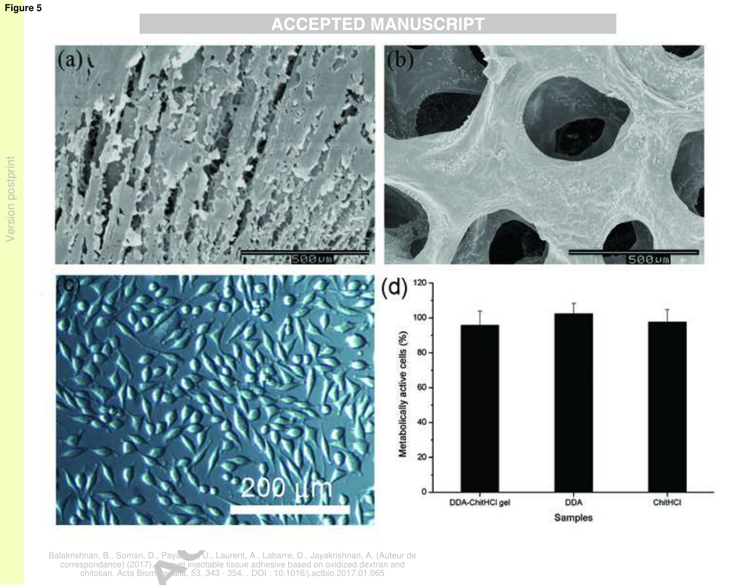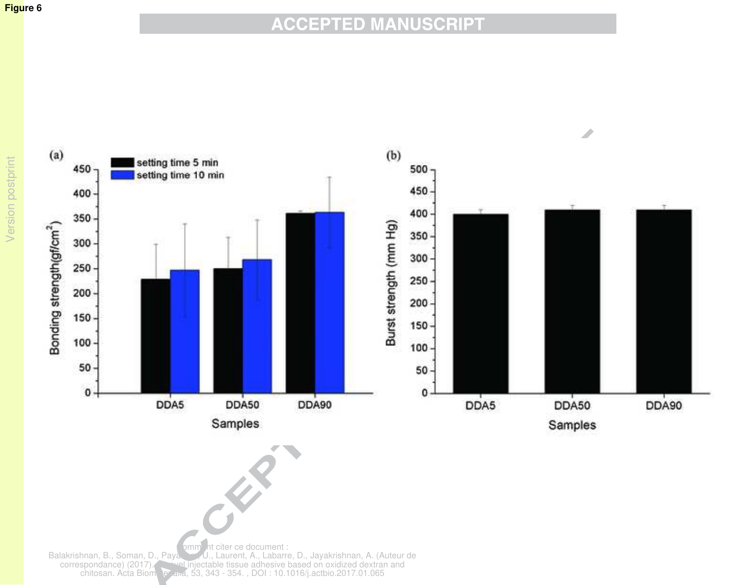### **Figure 6**

# **ACCEPTED MANUSCRIPT**

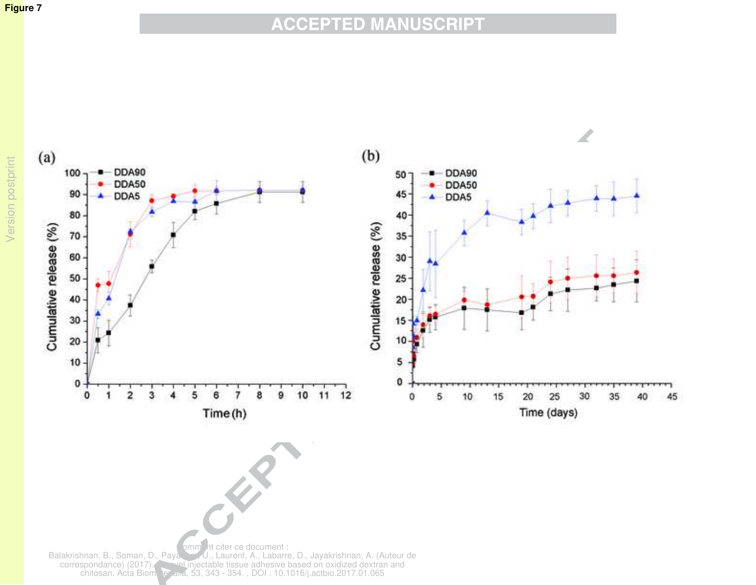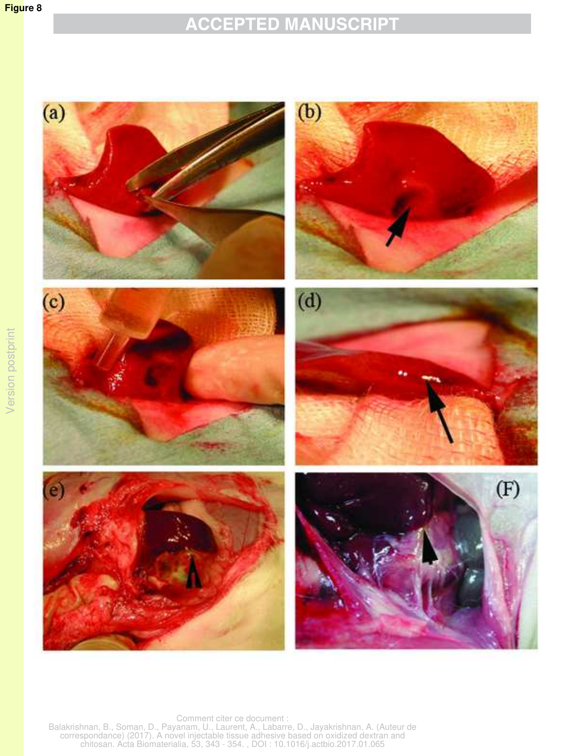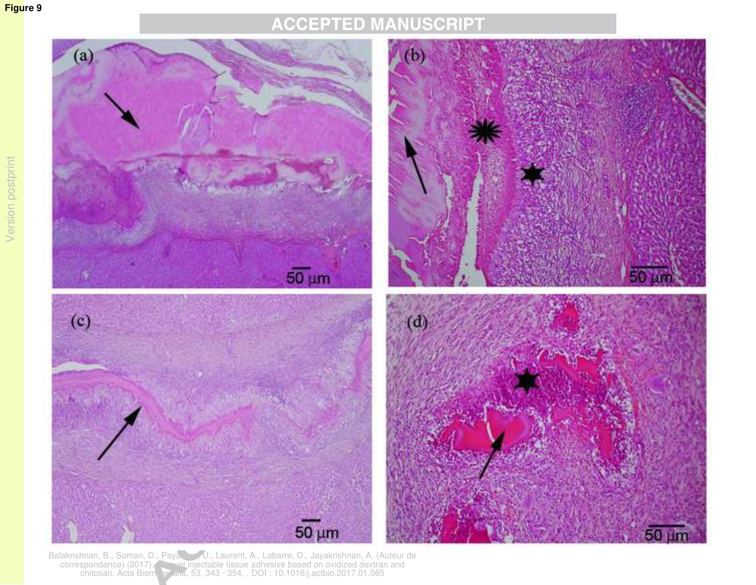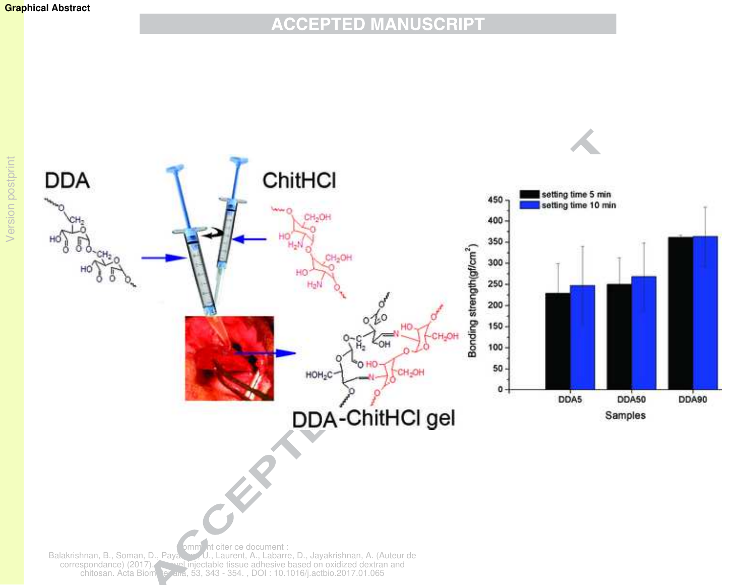